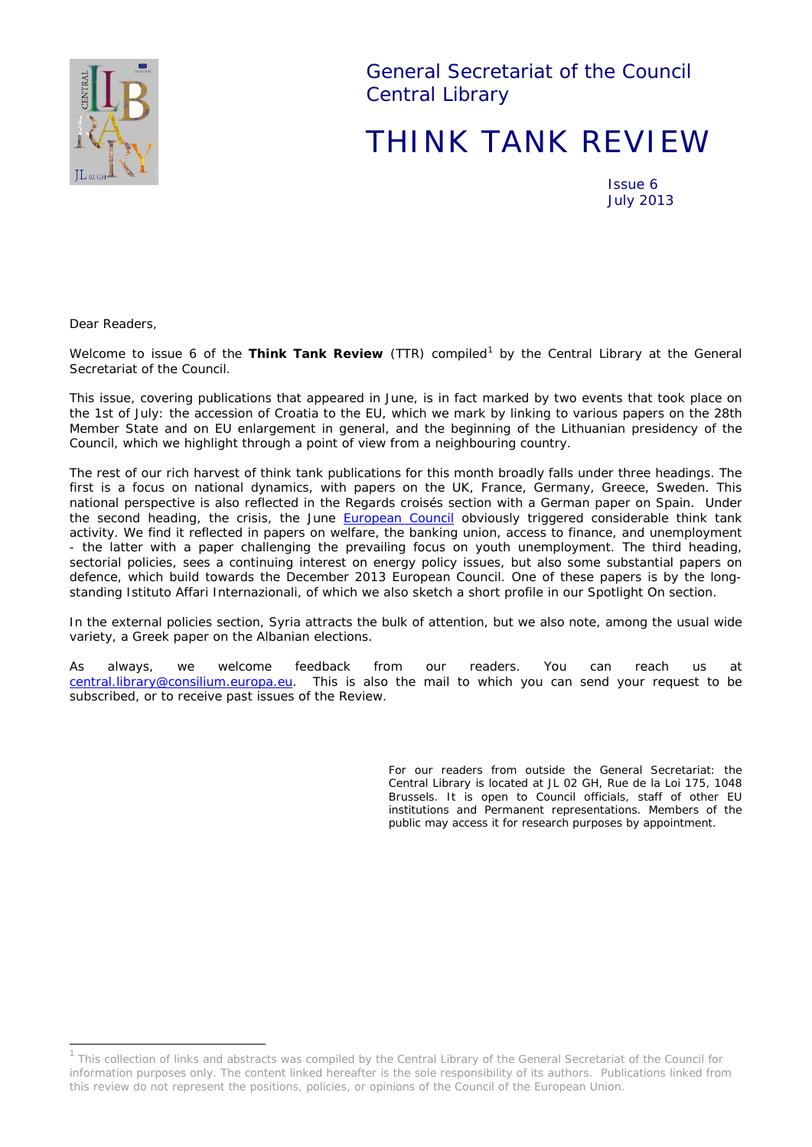

General Secretariat of the Council Central Library

# THINK TANK REVIEW

Issue 6 July 2013

*Dear Readers,*

*Welcome to issue 6 of the Think Tank Review (TTR) compiled[1](#page-0-0) by the Central Library at the General Secretariat of the Council.*

*This issue, covering publications that appeared in June, is in fact marked by two events that took place on the 1st of July: the accession of Croatia to the EU, which we mark by linking to various papers on the 28th Member State and on EU enlargement in general, and the beginning of the Lithuanian presidency of the Council, which we highlight through a point of view from a neighbouring country.*

*The rest of our rich harvest of think tank publications for this month broadly falls under three headings. The first is a focus on national dynamics, with papers on the UK, France, Germany, Greece, Sweden. This national perspective is also reflected in the* Regards croisés section *with a German paper on Spain. Under the second heading, the crisis, the June [European Council](http://www.european-council.europa.eu/council-meetings?meeting=f09c58bc-2f8e-41a7-b2f8-22eb4f31fcbf&tab=News&lang=en) obviously triggered considerable think tank activity. We find it reflected in papers on welfare, the banking union, access to finance, and unemployment - the latter with a paper challenging the prevailing focus on youth unemployment. The third heading, sectorial policies, sees a continuing interest on energy policy issues, but also some substantial papers on defence, which build towards the December 2013 European Council. One of these papers is by the longstanding* Istituto Affari Internazionali, *of which we also sketch a short profile in our* Spotlight On *section*.

In the external policies section, Syria attracts the bulk of attention, but we also note, among the usual wide *variety, a Greek paper on the Albanian elections.*

*As always, we welcome feedback from our readers. You can reach us at [central.library@consilium.europa.eu.](mailto:central.library@consilium.europa.eu) This is also the mail to which you can send your request to be subscribed, or to receive past issues of the Review.* 

> *For our readers from outside the General Secretariat: the Central Library is located at JL 02 GH, Rue de la Loi 175, 1048 Brussels. It is open to Council officials, staff of other EU institutions and Permanent representations. Members of the public may access it for research purposes by appointment.*

<span id="page-0-0"></span><sup>&</sup>lt;sup>1</sup> This collection of links and abstracts was compiled by the Central Library of the General Secretariat of the Council for information purposes only. The content linked hereafter is the sole responsibility of its authors. Publications linked from this review do not represent the positions, policies, or opinions of the Council of the European Union.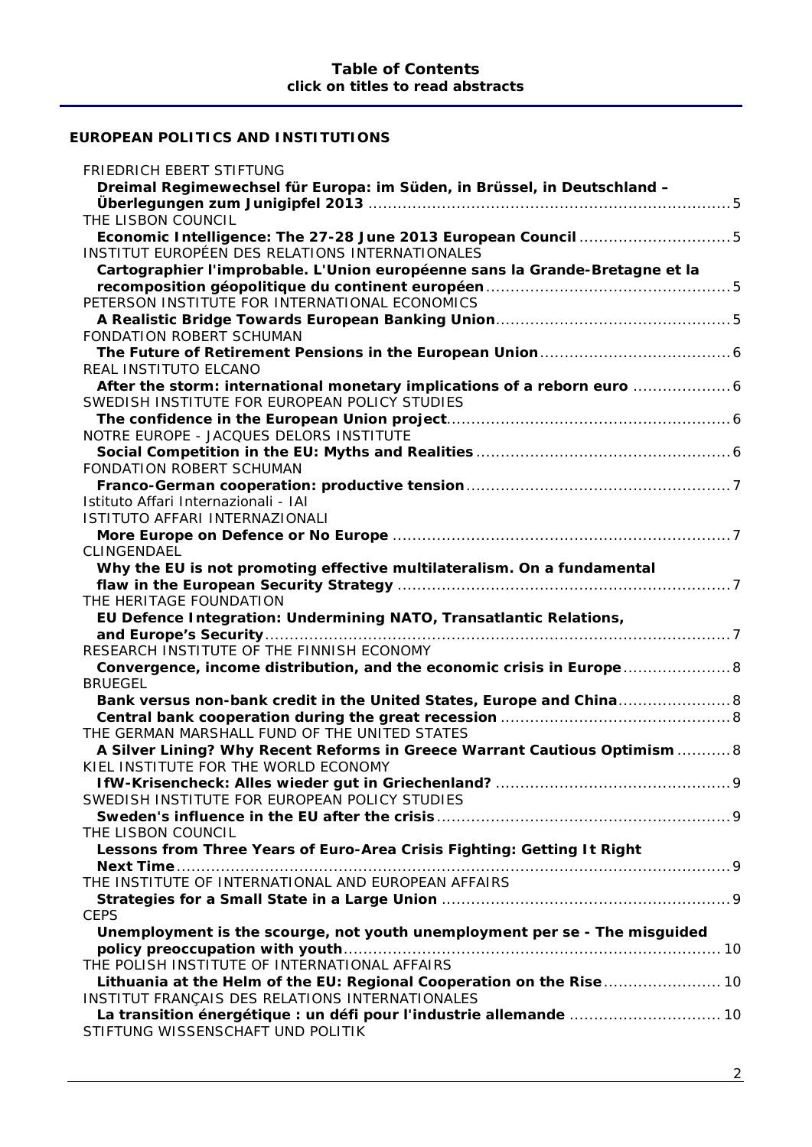# **[EUROPEAN POLITICS AND INSTITUTIONS](#page-4-0)**

| FRIEDRICH EBERT STIFTUNG                                                     |
|------------------------------------------------------------------------------|
| Dreimal Regimewechsel für Europa: im Süden, in Brüssel, in Deutschland -     |
|                                                                              |
| THE LISBON COUNCIL                                                           |
| Economic Intelligence: The 27-28 June 2013 European Council 5                |
| INSTITUT EUROPÉEN DES RELATIONS INTERNATIONALES                              |
| Cartographier l'improbable. L'Union européenne sans la Grande-Bretagne et la |
|                                                                              |
| PETERSON INSTITUTE FOR INTERNATIONAL ECONOMICS                               |
| FONDATION ROBERT SCHUMAN                                                     |
|                                                                              |
| REAL INSTITUTO ELCANO                                                        |
|                                                                              |
| SWEDISH INSTITUTE FOR EUROPEAN POLICY STUDIES                                |
|                                                                              |
| NOTRE EUROPE - JACQUES DELORS INSTITUTE                                      |
|                                                                              |
| <b>FONDATION ROBERT SCHUMAN</b>                                              |
|                                                                              |
| Istituto Affari Internazionali - IAI                                         |
| ISTITUTO AFFARI INTERNAZIONALI                                               |
|                                                                              |
| CLINGENDAEL                                                                  |
| Why the EU is not promoting effective multilateralism. On a fundamental      |
| THE HERITAGE FOUNDATION                                                      |
| EU Defence Integration: Undermining NATO, Transatlantic Relations,           |
|                                                                              |
| RESEARCH INSTITUTE OF THE FINNISH ECONOMY                                    |
| Convergence, income distribution, and the economic crisis in Europe  8       |
| <b>BRUEGEL</b>                                                               |
| Bank versus non-bank credit in the United States, Europe and China 8         |
|                                                                              |
| THE GERMAN MARSHALL FUND OF THE UNITED STATES                                |
| A Silver Lining? Why Recent Reforms in Greece Warrant Cautious Optimism  8   |
| KIEL INSTITUTE FOR THE WORLD ECONOMY                                         |
|                                                                              |
| SWEDISH INSTITUTE FOR EUROPEAN POLICY STUDIES                                |
|                                                                              |
| THE LISBON COUNCIL                                                           |
| Lessons from Three Years of Euro-Area Crisis Fighting: Getting It Right      |
| THE INSTITUTE OF INTERNATIONAL AND EUROPEAN AFFAIRS                          |
|                                                                              |
| <b>CEPS</b>                                                                  |
| Unemployment is the scourge, not youth unemployment per se - The misguided   |
|                                                                              |
| THE POLISH INSTITUTE OF INTERNATIONAL AFFAIRS                                |
| Lithuania at the Helm of the EU: Regional Cooperation on the Rise  10        |
| INSTITUT FRANÇAIS DES RELATIONS INTERNATIONALES                              |
|                                                                              |
| STIFTUNG WISSENSCHAFT UND POLITIK                                            |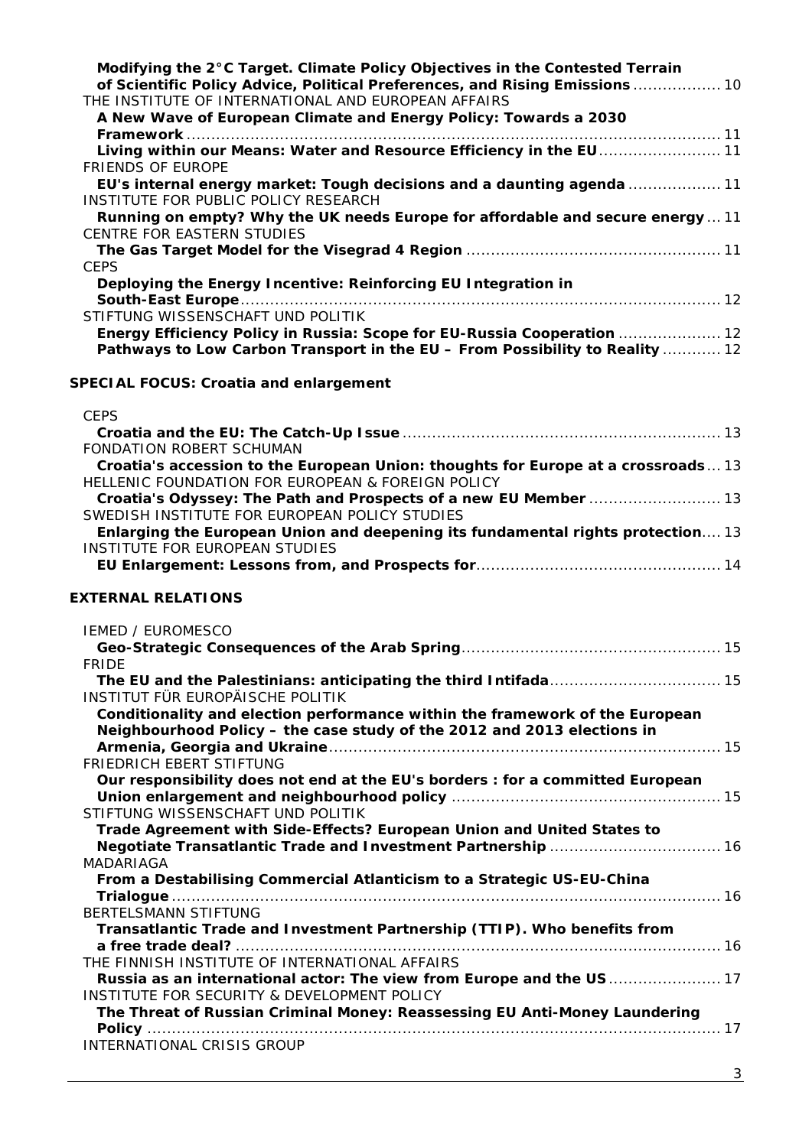| of Scientific Policy Advice, Political Preferences, and Rising Emissions  10                                             |
|--------------------------------------------------------------------------------------------------------------------------|
|                                                                                                                          |
| THE INSTITUTE OF INTERNATIONAL AND EUROPEAN AFFAIRS                                                                      |
| A New Wave of European Climate and Energy Policy: Towards a 2030                                                         |
|                                                                                                                          |
| Living within our Means: Water and Resource Efficiency in the EU 11                                                      |
| <b>FRIENDS OF EUROPE</b>                                                                                                 |
| EU's internal energy market: Tough decisions and a daunting agenda  11                                                   |
| INSTITUTE FOR PUBLIC POLICY RESEARCH                                                                                     |
| Running on empty? Why the UK needs Europe for affordable and secure energy  11<br>CENTRE FOR EASTERN STUDIES             |
|                                                                                                                          |
| <b>CEPS</b>                                                                                                              |
| Deploying the Energy Incentive: Reinforcing EU Integration in                                                            |
|                                                                                                                          |
| STIFTUNG WISSENSCHAFT UND POLITIK                                                                                        |
| Energy Efficiency Policy in Russia: Scope for EU-Russia Cooperation  12                                                  |
| Pathways to Low Carbon Transport in the EU - From Possibility to Reality  12                                             |
|                                                                                                                          |
| <b>SPECIAL FOCUS: Croatia and enlargement</b>                                                                            |
|                                                                                                                          |
| <b>CEPS</b>                                                                                                              |
|                                                                                                                          |
| FONDATION ROBERT SCHUMAN                                                                                                 |
| Croatia's accession to the European Union: thoughts for Europe at a crossroads13                                         |
| HELLENIC FOUNDATION FOR EUROPEAN & FOREIGN POLICY                                                                        |
| Croatia's Odyssey: The Path and Prospects of a new EU Member  13                                                         |
| SWEDISH INSTITUTE FOR EUROPEAN POLICY STUDIES                                                                            |
| Enlarging the European Union and deepening its fundamental rights protection 13<br><b>INSTITUTE FOR EUROPEAN STUDIES</b> |
|                                                                                                                          |
|                                                                                                                          |
| <b>EXTERNAL RELATIONS</b>                                                                                                |
|                                                                                                                          |
|                                                                                                                          |
| <b>IEMED / EUROMESCO</b>                                                                                                 |
|                                                                                                                          |
| <b>FRIDE</b>                                                                                                             |
|                                                                                                                          |
| INSTITUT FÜR EUROPÄISCHE POLITIK                                                                                         |
| Conditionality and election performance within the framework of the European                                             |
| Neighbourhood Policy - the case study of the 2012 and 2013 elections in                                                  |
|                                                                                                                          |
| FRIEDRICH EBERT STIFTUNG                                                                                                 |
| Our responsibility does not end at the EU's borders : for a committed European                                           |
|                                                                                                                          |
| STIFTUNG WISSENSCHAFT UND POLITIK                                                                                        |
| Trade Agreement with Side-Effects? European Union and United States to                                                   |
|                                                                                                                          |
| MADARIAGA                                                                                                                |
| From a Destabilising Commercial Atlanticism to a Strategic US-EU-China                                                   |
| BERTELSMANN STIFTUNG                                                                                                     |
| Transatlantic Trade and Investment Partnership (TTIP). Who benefits from                                                 |
|                                                                                                                          |
| THE FINNISH INSTITUTE OF INTERNATIONAL AFFAIRS                                                                           |
| Russia as an international actor: The view from Europe and the US 17                                                     |
| INSTITUTE FOR SECURITY & DEVELOPMENT POLICY                                                                              |
| The Threat of Russian Criminal Money: Reassessing EU Anti-Money Laundering                                               |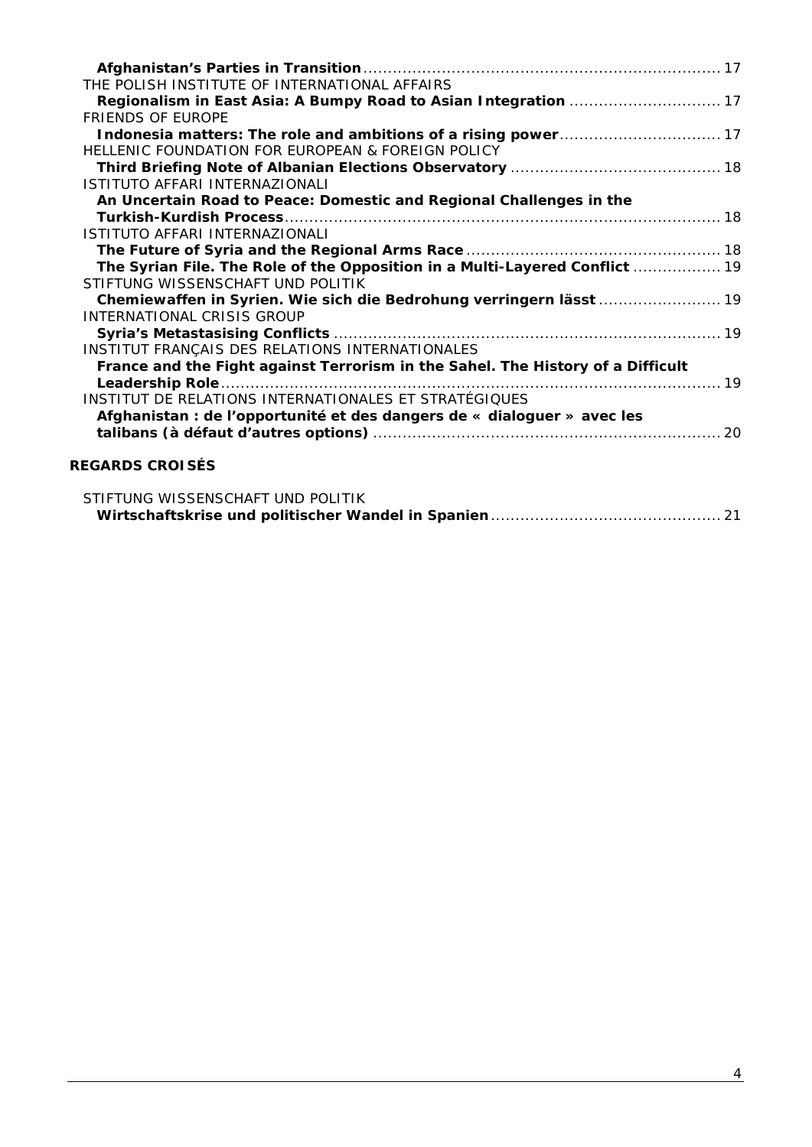| THE POLISH INSTITUTE OF INTERNATIONAL AFFAIRS                                   |
|---------------------------------------------------------------------------------|
| Regionalism in East Asia: A Bumpy Road to Asian Integration  17                 |
| <b>FRIENDS OF FUROPE</b>                                                        |
|                                                                                 |
| HELLENIC FOUNDATION FOR EUROPEAN & FOREIGN POLICY                               |
|                                                                                 |
| ISTITUTO AFFARI INTERNAZIONALI                                                  |
| An Uncertain Road to Peace: Domestic and Regional Challenges in the             |
|                                                                                 |
| ISTITUTO AFFARI INTERNAZIONALI                                                  |
|                                                                                 |
| The Syrian File. The Role of the Opposition in a Multi-Layered Conflict  19     |
| STIFTUNG WISSENSCHAFT UND POLITIK                                               |
|                                                                                 |
| INTERNATIONAL CRISIS GROUP                                                      |
|                                                                                 |
| INSTITUT FRANÇAIS DES RELATIONS INTERNATIONALES                                 |
| France and the Fight against Terrorism in the Sahel. The History of a Difficult |
|                                                                                 |
| INSTITUT DE RELATIONS INTERNATIONALES ET STRATÉGIQUES                           |
| Afghanistan : de l'opportunité et des dangers de « dialoguer » avec les         |
|                                                                                 |
|                                                                                 |
| <b>REGARDS CROISÉS</b>                                                          |

| STIFTUNG WISSENSCHAFT UND POLITIK |  |
|-----------------------------------|--|
|                                   |  |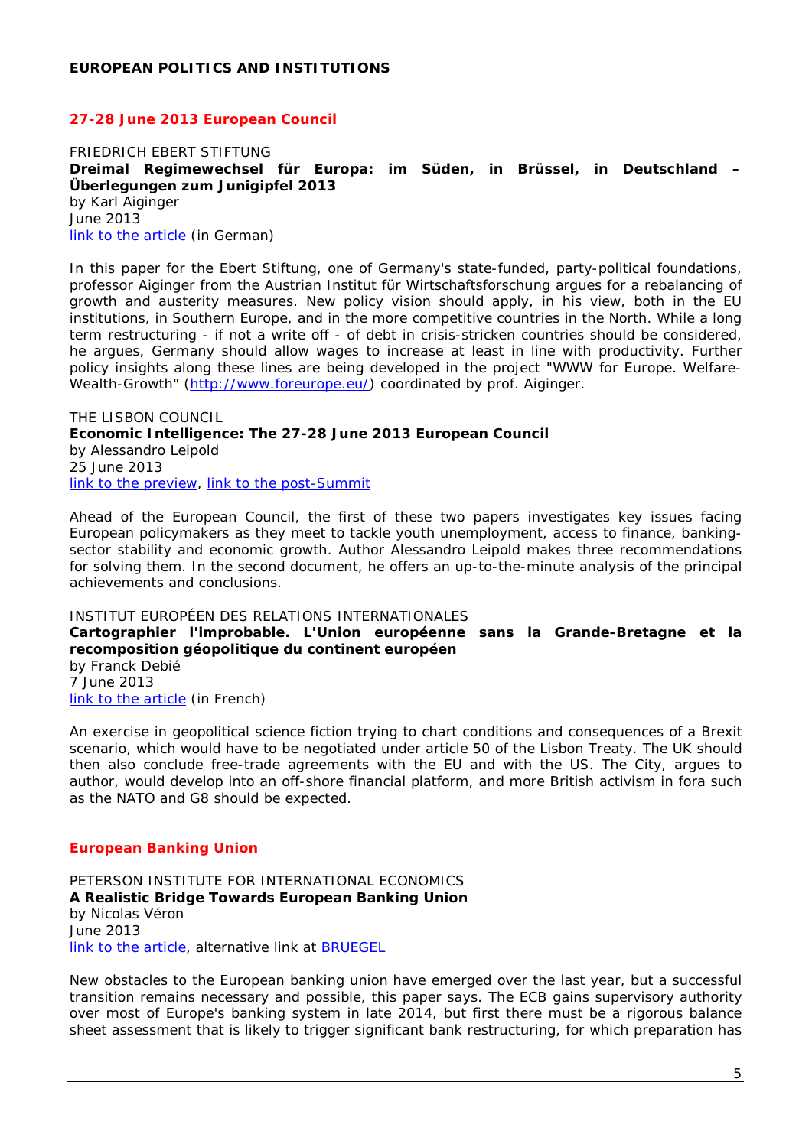#### <span id="page-4-0"></span>*27-28 June 2013 European Council*

<span id="page-4-2"></span><span id="page-4-1"></span>FRIEDRICH EBERT STIFTUNG **Dreimal Regimewechsel für Europa: im Süden, in Brüssel, in Deutschland – Überlegungen zum Junigipfel 2013** by Karl Aiginger June 2013 [link to the article](http://library.fes.de/pdf-files/wiso/10099.pdf) *(in German)*

In this paper for the Ebert Stiftung, one of Germany's state-funded, party-political foundations, professor Aiginger from the Austrian Institut für Wirtschaftsforschung argues for a rebalancing of growth and austerity measures. New policy vision should apply, in his view, both in the EU institutions, in Southern Europe, and in the more competitive countries in the North. While a long term restructuring - if not a write off - of debt in crisis-stricken countries should be considered, he argues, Germany should allow wages to increase at least in line with productivity. Further policy insights along these lines are being developed in the project "WWW for Europe. Welfare-Wealth-Growth" [\(http://www.foreurope.eu/\)](http://www.foreurope.eu/) coordinated by prof. Aiginger.

<span id="page-4-4"></span><span id="page-4-3"></span>THE LISBON COUNCIL **Economic Intelligence: The 27-28 June 2013 European Council**  by Alessandro Leipold 25 June 2013 [link to the preview,](http://www.lisboncouncil.net/publication/publication/97-economic-intelligence-the-27-28-june-2013-european-council.html) [link to the post-Summit](http://www.lisboncouncil.net/publication/publication/98-economic-intelligence-the-27-28-june-2013-european-council-post-summit-analysis.html)

Ahead of the European Council, the first of these two papers investigates key issues facing European policymakers as they meet to tackle youth unemployment, access to finance, bankingsector stability and economic growth. Author Alessandro Leipold makes three recommendations for solving them. In the second document, he offers an up-to-the-minute analysis of the principal achievements and conclusions.

#### <span id="page-4-5"></span>INSTITUT EUROPÉEN DES RELATIONS INTERNATIONALES

<span id="page-4-6"></span>**Cartographier l'improbable. L'Union européenne sans la Grande-Bretagne et la recomposition géopolitique du continent européen** 

by Franck Debié 7 June 2013 [link to the article](http://www.ieri.be/sites/default/files/filefield/news/Cartographier%20l) *(in French)*

An exercise in geopolitical science fiction trying to chart conditions and consequences of a Brexit scenario, which would have to be negotiated under article 50 of the Lisbon Treaty. The UK should then also conclude free-trade agreements with the EU and with the US. The City, argues to author, would develop into an off-shore financial platform, and more British activism in fora such as the NATO and G8 should be expected.

#### *European Banking Union*

<span id="page-4-8"></span><span id="page-4-7"></span>PETERSON INSTITUTE FOR INTERNATIONAL ECONOMICS **A Realistic Bridge Towards European Banking Union** by Nicolas Véron June 2013 [link to the article,](http://www.iie.com/publications/pb/pb13-17.pdf) alternative link at [BRUEGEL](http://www.bruegel.org/publications/publication-detail/publication/783-a-realistic-bridge-towards-european-banking-union/)

New obstacles to the European banking union have emerged over the last year, but a successful transition remains necessary and possible, this paper says. The ECB gains supervisory authority over most of Europe's banking system in late 2014, but first there must be a rigorous balance sheet assessment that is likely to trigger significant bank restructuring, for which preparation has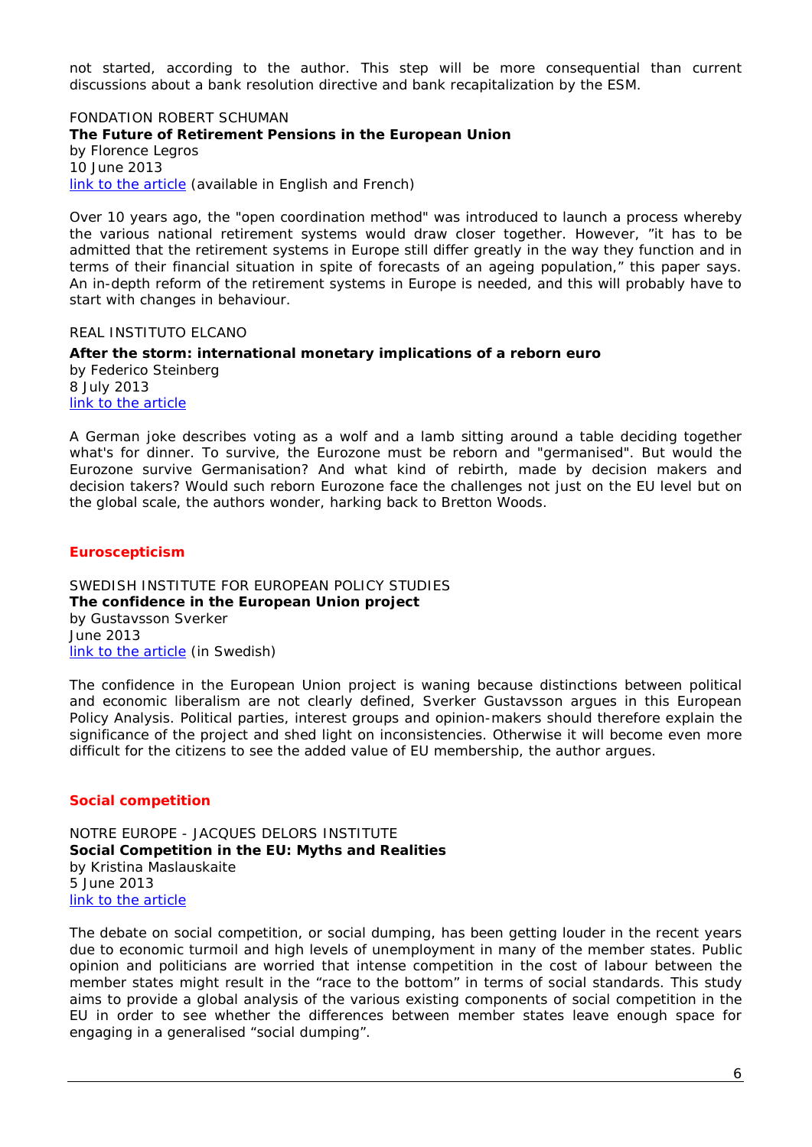not started, according to the author. This step will be more consequential than current discussions about a bank resolution directive and bank recapitalization by the ESM.

<span id="page-5-1"></span><span id="page-5-0"></span>FONDATION ROBERT SCHUMAN **The Future of Retirement Pensions in the European Union** by Florence Legros 10 June 2013 [link to the article](http://www.robert-schuman.eu/en/doc/questions-d-europe/qe-282-en.pdf) *(available in English and French)*

Over 10 years ago, the "open coordination method" was introduced to launch a process whereby the various national retirement systems would draw closer together. However, "it has to be admitted that the retirement systems in Europe still differ greatly in the way they function and in terms of their financial situation in spite of forecasts of an ageing population," this paper says. An in-depth reform of the retirement systems in Europe is needed, and this will probably have to start with changes in behaviour.

<span id="page-5-2"></span>REAL INSTITUTO ELCANO

<span id="page-5-3"></span>**After the storm: international monetary implications of a reborn euro**  by Federico Steinberg 8 July 2013 link to [the article](http://www.realinstitutoelcano.org/wps/portal/rielcano_eng/Content?WCM_GLOBAL_CONTEXT=/elcano/Elcano_in/Zonas_in/WP13-2013-Steinberg-international-monetary-implications-reborn-euro)

A German joke describes voting as a wolf and a lamb sitting around a table deciding together what's for dinner. To survive, the Eurozone must be reborn and "germanised". But would the Eurozone survive Germanisation? And what kind of rebirth, made by decision makers and decision takers? Would such reborn Eurozone face the challenges not just on the EU level but on the global scale, the authors wonder, harking back to Bretton Woods.

#### *Euroscepticism*

<span id="page-5-5"></span><span id="page-5-4"></span>SWEDISH INSTITUTE FOR EUROPEAN POLICY STUDIES **The confidence in the European Union project** by Gustavsson Sverker June 2013 [link to the article](http://www.sieps.se/sites/default/files/2013_9epa.pdf) *(in Swedish)*

The confidence in the European Union project is waning because distinctions between political and economic liberalism are not clearly defined, Sverker Gustavsson argues in this European Policy Analysis. Political parties, interest groups and opinion-makers should therefore explain the significance of the project and shed light on inconsistencies. Otherwise it will become even more difficult for the citizens to see the added value of EU membership, the author argues.

## *Social competition*

<span id="page-5-7"></span><span id="page-5-6"></span>NOTRE EUROPE - JACQUES DELORS INSTITUTE **Social Competition in the EU: Myths and Realities** by Kristina Maslauskaite 5 June 2013 [link to the article](http://www.eng.notre-europe.eu/media/socialcompetition-maslauskaite-ne-jdi-june13.pdf?pdf=ok)

The debate on social competition, or social dumping, has been getting louder in the recent years due to economic turmoil and high levels of unemployment in many of the member states. Public opinion and politicians are worried that intense competition in the cost of labour between the member states might result in the "race to the bottom" in terms of social standards. This study aims to provide a global analysis of the various existing components of social competition in the EU in order to see whether the differences between member states leave enough space for engaging in a generalised "social dumping".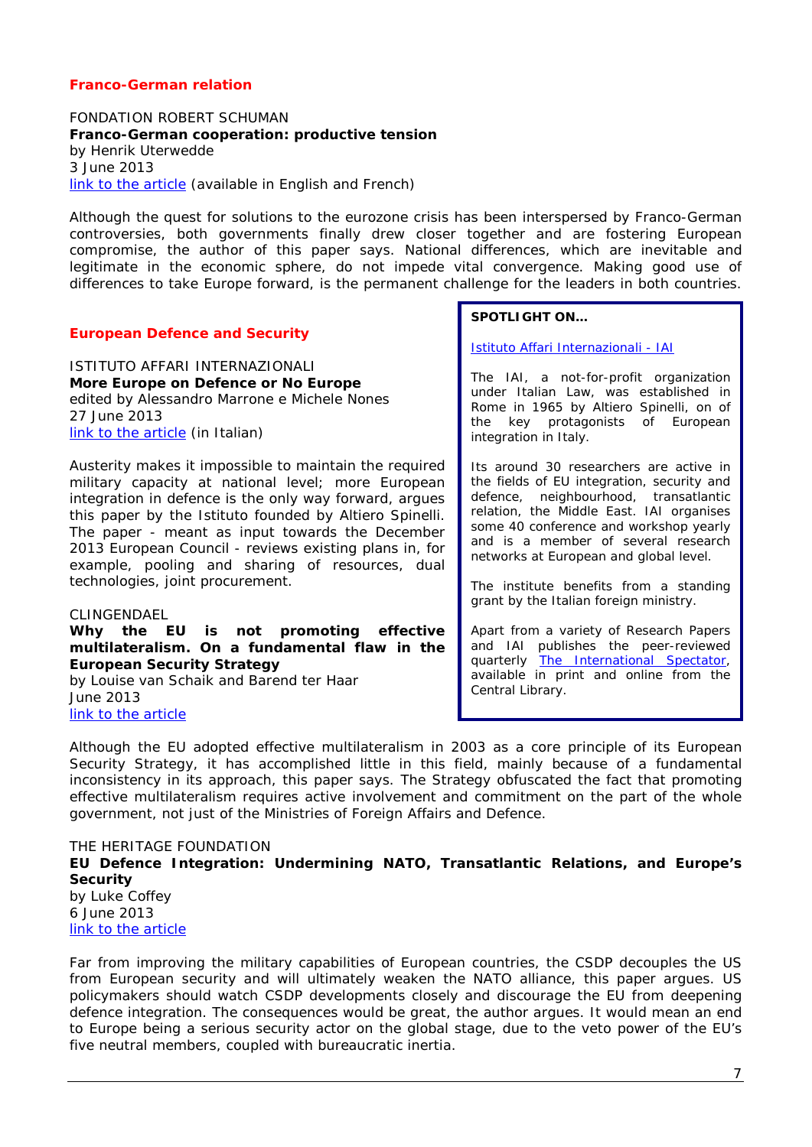## *Franco-German relation*

<span id="page-6-1"></span><span id="page-6-0"></span>FONDATION ROBERT SCHUMAN **Franco-German cooperation: productive tension** by Henrik Uterwedde 3 June 2013 [link to the article](http://www.robert-schuman.eu/en/doc/questions-d-europe/qe-281-en.pdf) *(available in English and French)*

Although the quest for solutions to the eurozone crisis has been interspersed by Franco-German controversies, both governments finally drew closer together and are fostering European compromise, the author of this paper says. National differences, which are inevitable and legitimate in the economic sphere, do not impede vital convergence. Making good use of differences to take Europe forward, is the permanent challenge for the leaders in both countries.

#### *European Defence and Security*

<span id="page-6-3"></span><span id="page-6-2"></span>ISTITUTO AFFARI INTERNAZIONALI **More Europe on Defence or No Europe** edited by Alessandro Marrone e Michele Nones 27 June 2013 [link to the article](http://www.iai.it/pdf/DocIAI/iai1303.pdf) *(in Italian)*

Austerity makes it impossible to maintain the required military capacity at national level; more European integration in defence is the only way forward, argues this paper by the *Istituto* founded by Altiero Spinelli. The paper - meant as input towards the December 2013 European Council - reviews existing plans in, for example, pooling and sharing of resources, dual technologies, joint procurement.

#### <span id="page-6-4"></span>CLINGENDAEL

<span id="page-6-5"></span>**Why the EU is not promoting effective multilateralism. On a fundamental flaw in the European Security Strategy**

by Louise van Schaik and Barend ter Haar June 2013 [link to the article](http://www.clingendael.nl/sites/default/files/Why%20the%20EU%20is%20not%20promoting%20effective%20multilateralism.pdf)

#### **SPOTLIGHT ON…**

[Istituto Affari Internazionali -](http://www.iai.it/content.asp?langid=2&contentid=+409&ritorno=) IAI

The IAI, a not-for-profit organization under Italian Law, was established in Rome in 1965 by Altiero Spinelli, on of the key protagonists of European integration in Italy.

Its around 30 researchers are active in the fields of EU integration, security and defence, neighbourhood, transatlantic relation, the Middle East. IAI organises some 40 conference and workshop yearly and is a member of several research networks at European and global level.

The institute benefits from a standing grant by the Italian foreign ministry.

Apart from a variety of Research Papers and IAI publishes the peer-reviewed quarterly [The International Spectator,](http://www.tandfonline.com/toc/rspe20/48/2) available in print and online from the Central Library.

Although the EU adopted effective multilateralism in 2003 as a core principle of its European Security Strategy, it has accomplished little in this field, mainly because of a fundamental inconsistency in its approach, this paper says. The Strategy obfuscated the fact that promoting effective multilateralism requires active involvement and commitment on the part of the whole government, not just of the Ministries of Foreign Affairs and Defence.

<span id="page-6-7"></span><span id="page-6-6"></span>THE HERITAGE FOUNDATION **EU Defence Integration: Undermining NATO, Transatlantic Relations, and Europe's Security** by Luke Coffey 6 June 2013 [link to the article](http://thf_media.s3.amazonaws.com/2013/pdf/bg2806.pdf)

Far from improving the military capabilities of European countries, the CSDP decouples the US from European security and will ultimately weaken the NATO alliance, this paper argues. US policymakers should watch CSDP developments closely and discourage the EU from deepening defence integration. The consequences would be great, the author argues. It would mean an end to Europe being a serious security actor on the global stage, due to the veto power of the EU's five neutral members, coupled with bureaucratic inertia.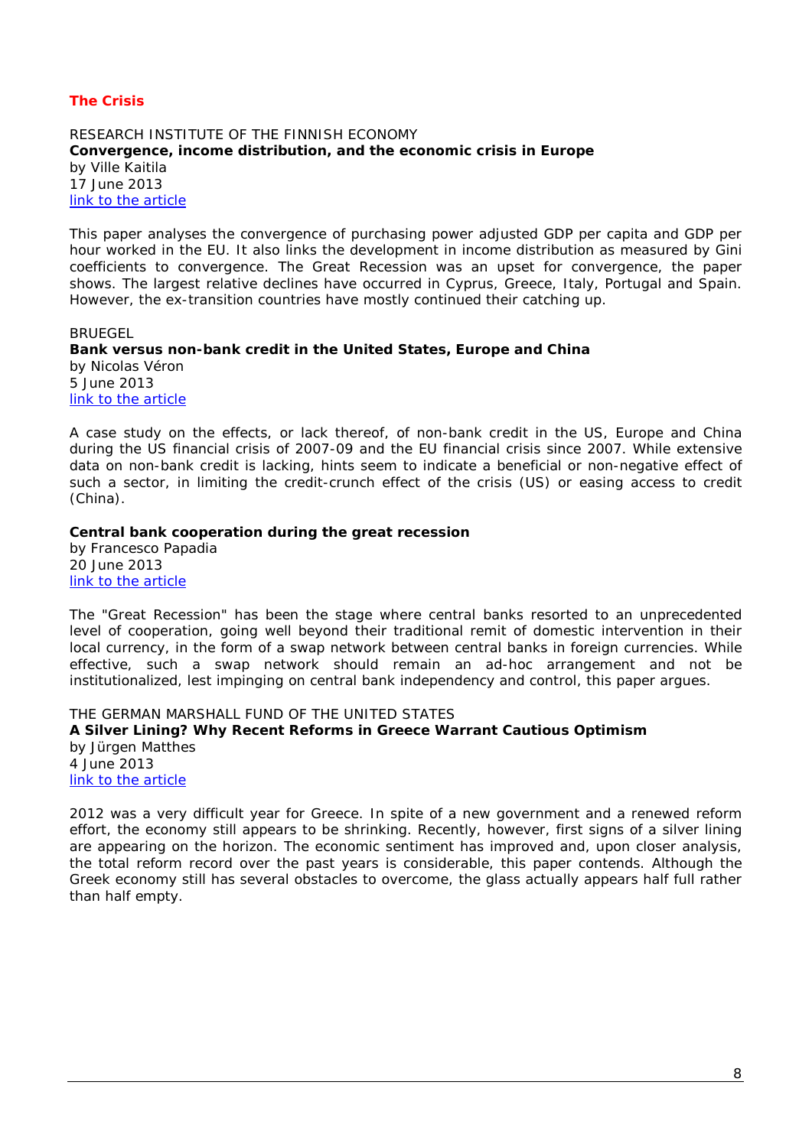## *The Crisis*

<span id="page-7-1"></span><span id="page-7-0"></span>RESEARCH INSTITUTE OF THE FINNISH ECONOMY **Convergence, income distribution, and the economic crisis in Europe** by Ville Kaitila 17 June 2013 [link to the article](http://www.etla.fi/wp-content/uploads/ETLA-Working-Papers-14.pdf)

This paper analyses the convergence of purchasing power adjusted GDP per capita and GDP per hour worked in the EU. It also links the development in income distribution as measured by Gini coefficients to convergence. The Great Recession was an upset for convergence, the paper shows. The largest relative declines have occurred in Cyprus, Greece, Italy, Portugal and Spain. However, the ex-transition countries have mostly continued their catching up.

#### <span id="page-7-2"></span>**BRUEGEL**

<span id="page-7-3"></span>**Bank versus non-bank credit in the United States, Europe and China** by Nicolas Véron 5 June 2013 [link to the article](http://www.bruegel.org/publications/publication-detail/publication/781-bank-versus-non-bank-credit-in-the-united-states-europe-and-china/)

A case study on the effects, or lack thereof, of non-bank credit in the US, Europe and China during the US financial crisis of 2007-09 and the EU financial crisis since 2007. While extensive data on non-bank credit is lacking, hints seem to indicate a beneficial or non-negative effect of such a sector, in limiting the credit-crunch effect of the crisis (US) or easing access to credit (China).

#### <span id="page-7-4"></span>**Central bank cooperation during the great recession**

by Francesco Papadia 20 June 2013 [link to the article](http://www.bruegel.org/publications/publication-detail/publication/782-central-bank-cooperation-during-the-great-recession/)

The "Great Recession" has been the stage where central banks resorted to an unprecedented level of cooperation, going well beyond their traditional remit of domestic intervention in their local currency, in the form of a swap network between central banks in foreign currencies. While effective, such a swap network should remain an ad-hoc arrangement and not be institutionalized, lest impinging on central bank independency and control, this paper argues.

<span id="page-7-6"></span><span id="page-7-5"></span>THE GERMAN MARSHALL FUND OF THE UNITED STATES **A Silver Lining? Why Recent Reforms in Greece Warrant Cautious Optimism** by Jürgen Matthes 4 June 2013 [link to the article](http://www.gmfus.org/wp-content/blogs.dir/1/files_mf/1370291583Matthes_SilverLining_Jun13.pdf)

2012 was a very difficult year for Greece. In spite of a new government and a renewed reform effort, the economy still appears to be shrinking. Recently, however, first signs of a silver lining are appearing on the horizon. The economic sentiment has improved and, upon closer analysis, the total reform record over the past years is considerable, this paper contends. Although the Greek economy still has several obstacles to overcome, the glass actually appears half full rather than half empty.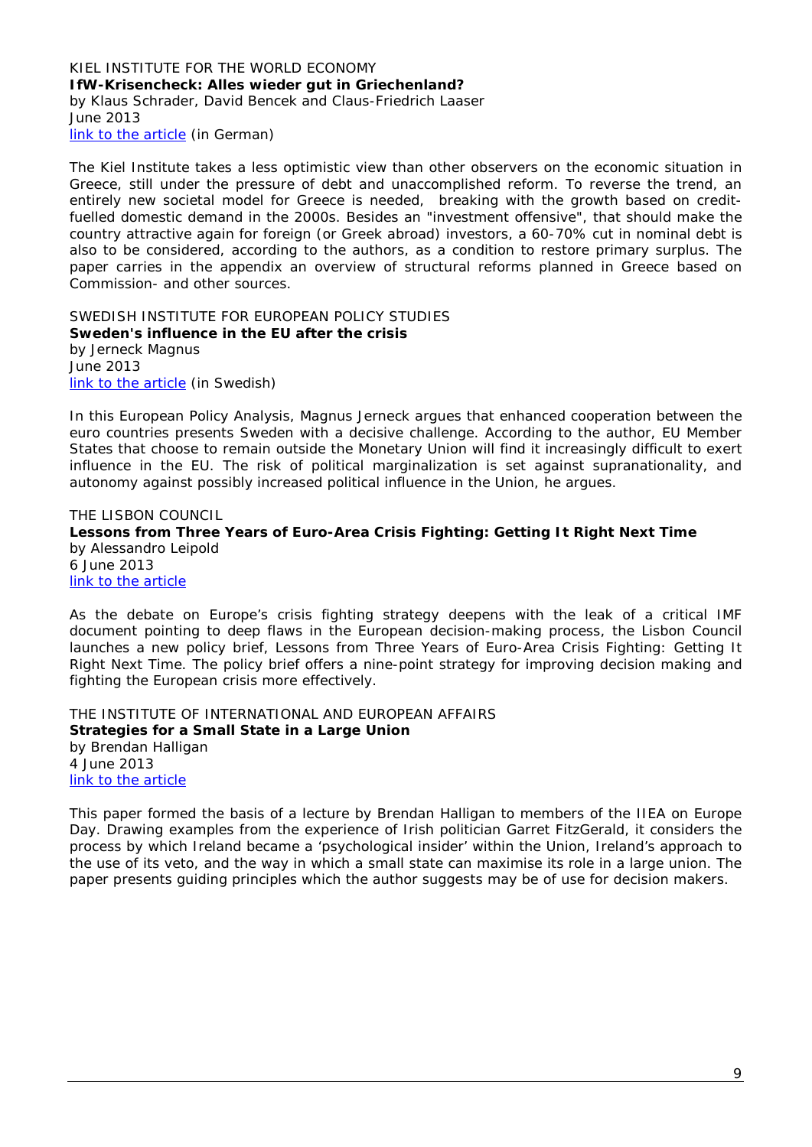#### <span id="page-8-1"></span><span id="page-8-0"></span>KIEL INSTITUTE FOR THE WORLD ECONOMY **IfW-Krisencheck: Alles wieder gut in Griechenland?**  by Klaus Schrader, David Bencek and Claus-Friedrich Laaser June 2013 [link to the article](http://www.ifw-kiel.de/pub/kd/2013/kd522_523.pdf) *(in German)*

The Kiel Institute takes a less optimistic view than other observers on the economic situation in Greece, still under the pressure of debt and unaccomplished reform. To reverse the trend, an entirely new societal model for Greece is needed, breaking with the growth based on creditfuelled domestic demand in the 2000s. Besides an "investment offensive", that should make the country attractive again for foreign (or Greek abroad) investors, a 60-70% cut in nominal debt is also to be considered, according to the authors, as a condition to restore primary surplus. The paper carries in the appendix an overview of structural reforms planned in Greece based on Commission- and other sources.

<span id="page-8-3"></span><span id="page-8-2"></span>SWEDISH INSTITUTE FOR EUROPEAN POLICY STUDIES **Sweden's influence in the EU after the crisis** by Jerneck Magnus June 2013 [link to the article](http://www.sieps.se/sites/default/files/2013_10epa_2_0.pdf) *(in Swedish)*

In this European Policy Analysis, Magnus Jerneck argues that enhanced cooperation between the euro countries presents Sweden with a decisive challenge. According to the author, EU Member States that choose to remain outside the Monetary Union will find it increasingly difficult to exert influence in the EU. The risk of political marginalization is set against supranationality, and autonomy against possibly increased political influence in the Union, he argues.

<span id="page-8-5"></span><span id="page-8-4"></span>THE LISBON COUNCIL **Lessons from Three Years of Euro-Area Crisis Fighting: Getting It Right Next Time**  by Alessandro Leipold 6 June 2013 [link to the article](http://www.lisboncouncil.net/publication/publication/96-lessons-from-three-years-of-euro-area-crisis-fighting-getting-it-right-next-time.html)

As the debate on Europe's crisis fighting strategy deepens with the leak of a critical IMF document pointing to deep flaws in the European decision-making process, the Lisbon Council launches a new policy brief, Lessons from Three Years of Euro-Area Crisis Fighting: Getting It Right Next Time. The policy brief offers a nine-point strategy for improving decision making and fighting the European crisis more effectively.

<span id="page-8-7"></span><span id="page-8-6"></span>THE INSTITUTE OF INTERNATIONAL AND EUROPEAN AFFAIRS **Strategies for a Small State in a Large Union** by Brendan Halligan 4 June 2013 [link to the article](http://www.iiea.com/ftp/Publications/Strategies%20for%20a%20Small%20State%20in%20a%20Large%20Union-Design-Final-compressed.pdf)

This paper formed the basis of a lecture by Brendan Halligan to members of the IIEA on Europe Day. Drawing examples from the experience of Irish politician Garret FitzGerald, it considers the process by which Ireland became a 'psychological insider' within the Union, Ireland's approach to the use of its veto, and the way in which a small state can maximise its role in a large union. The paper presents guiding principles which the author suggests may be of use for decision makers.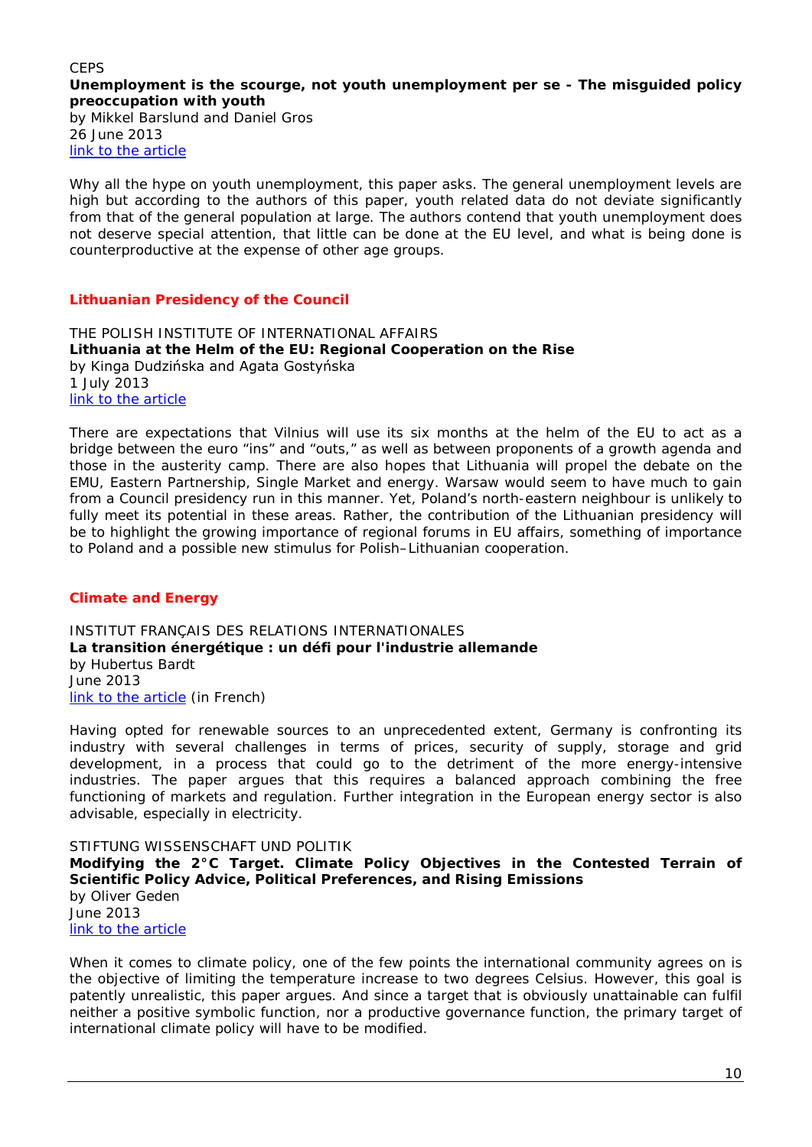#### <span id="page-9-1"></span><span id="page-9-0"></span>**CEPS Unemployment is the scourge, not youth unemployment per se - The misguided policy preoccupation with youth**  by Mikkel Barslund and Daniel Gros 26 June 2013

[link to the article](http://www.ceps.be/ceps/dld/8187/pdf)

Why all the hype on youth unemployment, this paper asks. The general unemployment levels are high but according to the authors of this paper, youth related data do not deviate significantly from that of the general population at large. The authors contend that youth unemployment does not deserve special attention, that little can be done at the EU level, and what is being done is counterproductive at the expense of other age groups.

## *Lithuanian Presidency of the Council*

<span id="page-9-3"></span><span id="page-9-2"></span>THE POLISH INSTITUTE OF INTERNATIONAL AFFAIRS **Lithuania at the Helm of the EU: Regional Cooperation on the Rise** by Kinga Dudzińska and Agata Gostyńska 1 July 2013 [link to the article](http://www.pism.pl/files/?id_plik=14247)

There are expectations that Vilnius will use its six months at the helm of the EU to act as a bridge between the euro "ins" and "outs," as well as between proponents of a growth agenda and those in the austerity camp. There are also hopes that Lithuania will propel the debate on the EMU, Eastern Partnership, Single Market and energy. Warsaw would seem to have much to gain from a Council presidency run in this manner. Yet, Poland's north-eastern neighbour is unlikely to fully meet its potential in these areas. Rather, the contribution of the Lithuanian presidency will be to highlight the growing importance of regional forums in EU affairs, something of importance to Poland and a possible new stimulus for Polish–Lithuanian cooperation.

## *Climate and Energy*

<span id="page-9-5"></span><span id="page-9-4"></span>INSTITUT FRANÇAIS DES RELATIONS INTERNATIONALES **La transition énergétique : un défi pour l'industrie allemande** by Hubertus Bardt June 2013 [link to the article](http://www.ifri.org/downloads/noteducerfa102hbardtvf.pdf) *(in French)*

Having opted for renewable sources to an unprecedented extent, Germany is confronting its industry with several challenges in terms of prices, security of supply, storage and grid development, in a process that could go to the detriment of the more energy-intensive industries. The paper argues that this requires a balanced approach combining the free functioning of markets and regulation. Further integration in the European energy sector is also advisable, especially in electricity.

<span id="page-9-7"></span><span id="page-9-6"></span>STIFTUNG WISSENSCHAFT UND POLITIK **Modifying the 2°C Target. Climate Policy Objectives in the Contested Terrain of Scientific Policy Advice, Political Preferences, and Rising Emissions** by Oliver Geden June 2013 [link to the article](http://www.swp-berlin.org/fileadmin/contents/products/research_papers/2013_RP05_gdn.pdf)

When it comes to climate policy, one of the few points the international community agrees on is the objective of limiting the temperature increase to two degrees Celsius. However, this goal is patently unrealistic, this paper argues. And since a target that is obviously unattainable can fulfil neither a positive symbolic function, nor a productive governance function, the primary target of international climate policy will have to be modified.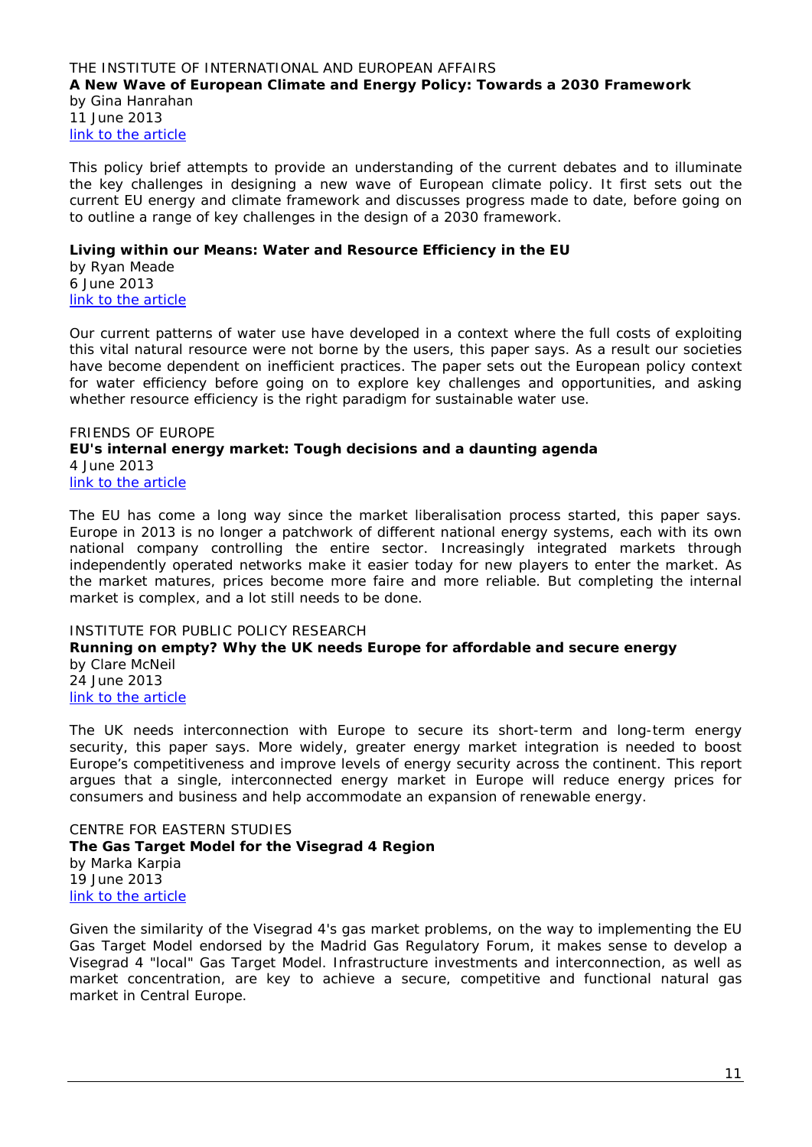#### <span id="page-10-1"></span><span id="page-10-0"></span>THE INSTITUTE OF INTERNATIONAL AND EUROPEAN AFFAIRS **A New Wave of European Climate and Energy Policy: Towards a 2030 Framework** by Gina Hanrahan 11 June 2013 [link to the article](http://www.iiea.com/ftp/environmentnexus%20papers/new-wave_european_climate-policy_energy-iiea_gina_hanrahan.pdf)

This policy brief attempts to provide an understanding of the current debates and to illuminate the key challenges in designing a new wave of European climate policy. It first sets out the current EU energy and climate framework and discusses progress made to date, before going on to outline a range of key challenges in the design of a 2030 framework.

## <span id="page-10-2"></span>**Living within our Means: Water and Resource Efficiency in the EU**

by Ryan Meade 6 June 2013 [link to the article](http://www.iiea.com/ftp/environmentnexus%20papers/water-and-resource-efficiency_iiea_2013_environement-nexus.pdf)

Our current patterns of water use have developed in a context where the full costs of exploiting this vital natural resource were not borne by the users, this paper says. As a result our societies have become dependent on inefficient practices. The paper sets out the European policy context for water efficiency before going on to explore key challenges and opportunities, and asking whether resource efficiency is the right paradigm for sustainable water use.

## <span id="page-10-4"></span><span id="page-10-3"></span>FRIENDS OF EUROPE **EU's internal energy market: Tough decisions and a daunting agenda** 4 June 2013 [link to the article](http://www.friendsofeurope.org/Portals/13/Documents/Discussion%20Papers/FoE_DiscussionPaper_EU_energy_FINAL_WEB.pdf)

The EU has come a long way since the market liberalisation process started, this paper says. Europe in 2013 is no longer a patchwork of different national energy systems, each with its own national company controlling the entire sector. Increasingly integrated markets through independently operated networks make it easier today for new players to enter the market. As the market matures, prices become more faire and more reliable. But completing the internal market is complex, and a lot still needs to be done.

## <span id="page-10-6"></span><span id="page-10-5"></span>INSTITUTE FOR PUBLIC POLICY RESEARCH **Running on empty? Why the UK needs Europe for affordable and secure energy**  by Clare McNeil 24 June 2013 [link to the article](http://www.ippr.org/images/media/files/publication/2013/06/running-on-empty_June2013_10937.pdf)

The UK needs interconnection with Europe to secure its short-term and long-term energy security, this paper says. More widely, greater energy market integration is needed to boost Europe's competitiveness and improve levels of energy security across the continent. This report argues that a single, interconnected energy market in Europe will reduce energy prices for consumers and business and help accommodate an expansion of renewable energy.

<span id="page-10-8"></span><span id="page-10-7"></span>CENTRE FOR EASTERN STUDIES **The Gas Target Model for the Visegrad 4 Region**  by Marka Karpia 19 June 2013 [link to the article](http://www.osw.waw.pl/sites/default/files/THE_GAS_TARGET_MODEL_FOR_THE_VISEGRAD_4_REGION.pdf)

Given the similarity of the Visegrad 4's gas market problems, on the way to implementing the EU Gas Target Model endorsed by the Madrid Gas Regulatory Forum, it makes sense to develop a Visegrad 4 "local" Gas Target Model. Infrastructure investments and interconnection, as well as market concentration, are key to achieve a secure, competitive and functional natural gas market in Central Europe.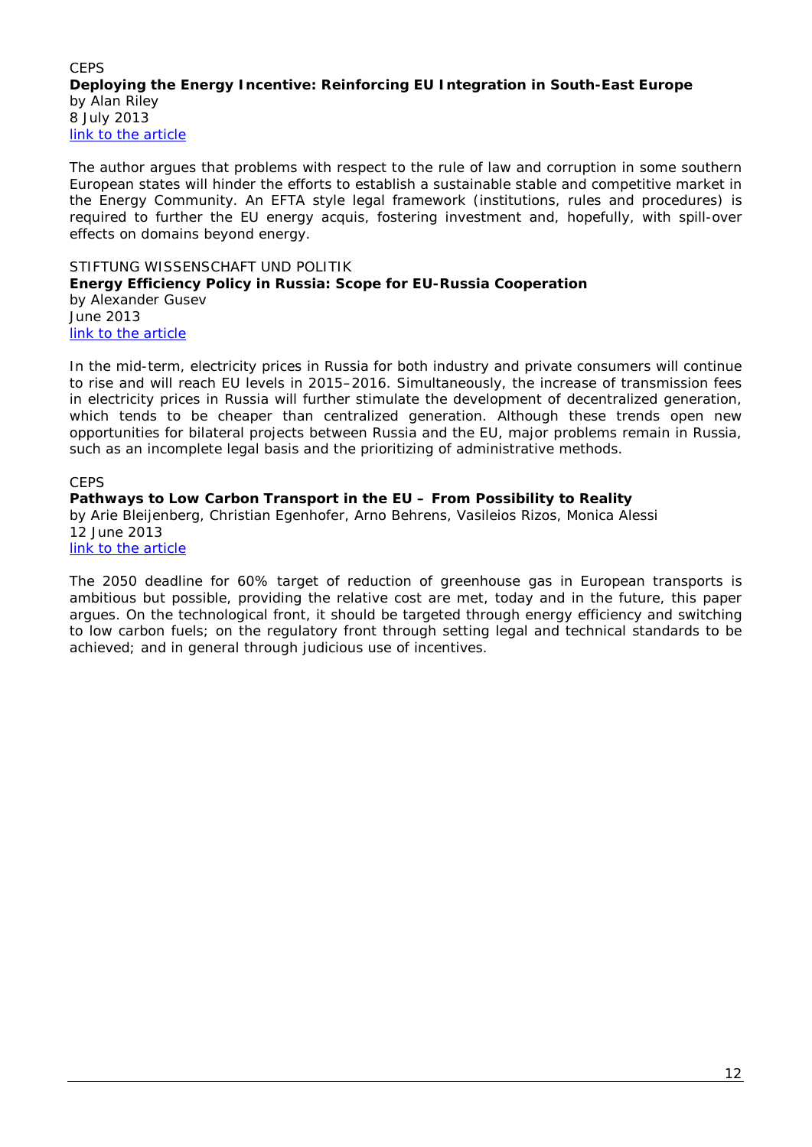## <span id="page-11-1"></span><span id="page-11-0"></span>**CEPS Deploying the Energy Incentive: Reinforcing EU Integration in South-East Europe**  by Alan Riley 8 July 2013 [link to the article](http://www.ceps.be/ceps/dld/8232/pdf)

The author argues that problems with respect to the rule of law and corruption in some southern European states will hinder the efforts to establish a sustainable stable and competitive market in the Energy Community. An EFTA style legal framework (institutions, rules and procedures) is required to further the EU energy acquis, fostering investment and, hopefully, with spill-over effects on domains beyond energy.

#### <span id="page-11-3"></span><span id="page-11-2"></span>STIFTUNG WISSENSCHAFT UND POLITIK **Energy Efficiency Policy in Russia: Scope for EU-Russia Cooperation** by Alexander Gusev June 2013 [link to the article](http://www.swp-berlin.org/fileadmin/contents/products/comments/2013C16_gsv.pdf)

In the mid-term, electricity prices in Russia for both industry and private consumers will continue to rise and will reach EU levels in 2015–2016. Simultaneously, the increase of transmission fees in electricity prices in Russia will further stimulate the development of decentralized generation, which tends to be cheaper than centralized generation. Although these trends open new opportunities for bilateral projects between Russia and the EU, major problems remain in Russia, such as an incomplete legal basis and the prioritizing of administrative methods.

## **CEPS**

<span id="page-11-4"></span>**Pathways to Low Carbon Transport in the EU – From Possibility to Reality** by Arie Bleijenberg, Christian Egenhofer, Arno Behrens, Vasileios Rizos, Monica Alessi 12 June 2013 [link to the article](http://www.ceps.be/ceps/dld/8144/pdf)

The 2050 deadline for 60% target of reduction of greenhouse gas in European transports is ambitious but possible, providing the relative cost are met, today and in the future, this paper argues. On the technological front, it should be targeted through energy efficiency and switching to low carbon fuels; on the regulatory front through setting legal and technical standards to be achieved; and in general through judicious use of incentives.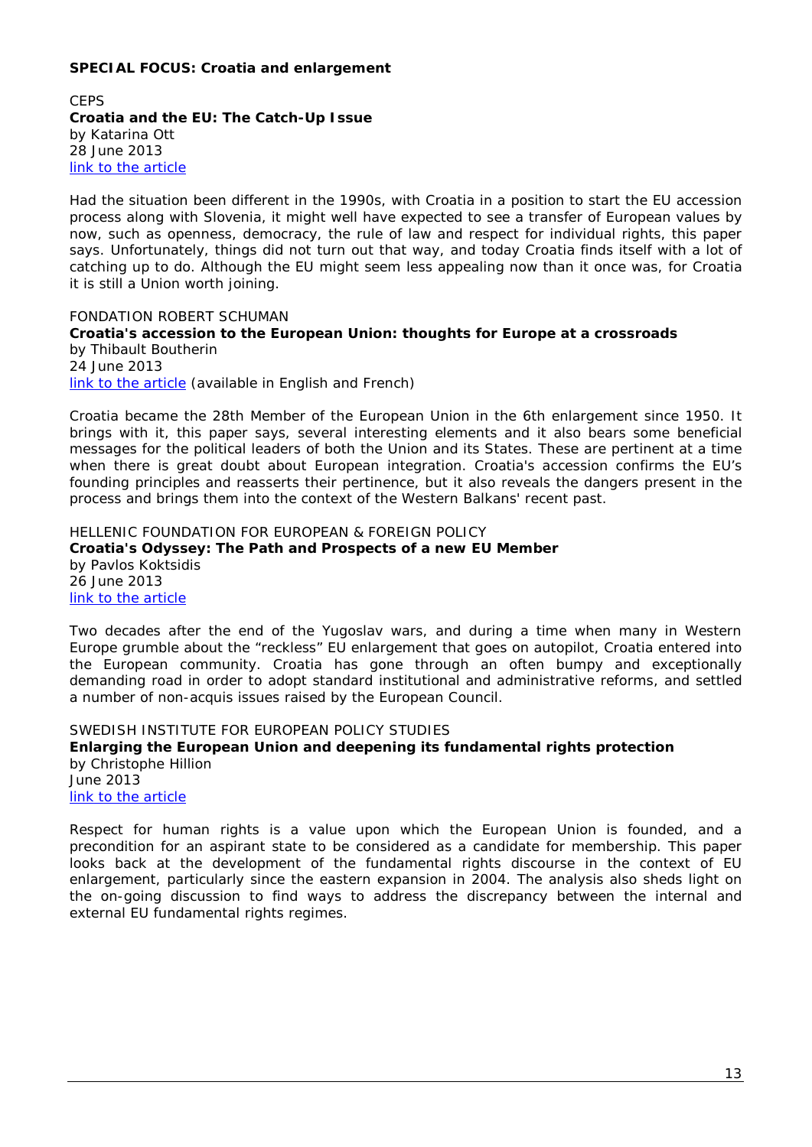## <span id="page-12-0"></span>**SPECIAL FOCUS: Croatia and enlargement**

<span id="page-12-2"></span><span id="page-12-1"></span>**CEPS Croatia and the EU: The Catch-Up Issue**  by Katarina Ott 28 June 2013 [link to the article](http://www.ceps.be/ceps/dld/8210/pdf)

Had the situation been different in the 1990s, with Croatia in a position to start the EU accession process along with Slovenia, it might well have expected to see a transfer of European values by now, such as openness, democracy, the rule of law and respect for individual rights, this paper says. Unfortunately, things did not turn out that way, and today Croatia finds itself with a lot of catching up to do. Although the EU might seem less appealing now than it once was, for Croatia it is still a Union worth joining.

<span id="page-12-4"></span><span id="page-12-3"></span>FONDATION ROBERT SCHUMAN **Croatia's accession to the European Union: thoughts for Europe at a crossroads** by Thibault Boutherin 24 June 2013 [link to the article](http://www.robert-schuman.eu/en/doc/questions-d-europe/qe-283-en.pdf) *(available in English and French)*

Croatia became the 28th Member of the European Union in the 6th enlargement since 1950. It brings with it, this paper says, several interesting elements and it also bears some beneficial messages for the political leaders of both the Union and its States. These are pertinent at a time when there is great doubt about European integration. Croatia's accession confirms the EU's founding principles and reasserts their pertinence, but it also reveals the dangers present in the process and brings them into the context of the Western Balkans' recent past.

<span id="page-12-6"></span><span id="page-12-5"></span>HELLENIC FOUNDATION FOR EUROPEAN & FOREIGN POLICY **Croatia's Odyssey: The Path and Prospects of a new EU Member** by Pavlos Koktsidis 26 June 2013 [link to the article](http://www.eliamep.gr/wp-content/uploads/2013/06/Briefing-Notes_18_June-2013_Pavlos-Koktsidis1.pdf)

Two decades after the end of the Yugoslav wars, and during a time when many in Western Europe grumble about the "reckless" EU enlargement that goes on autopilot, Croatia entered into the European community. Croatia has gone through an often bumpy and exceptionally demanding road in order to adopt standard institutional and administrative reforms, and settled a number of non-acquis issues raised by the European Council.

<span id="page-12-8"></span><span id="page-12-7"></span>SWEDISH INSTITUTE FOR EUROPEAN POLICY STUDIES **Enlarging the European Union and deepening its fundamental rights protection** by Christophe Hillion June 2013 [link to the article](http://www.sieps.se/sites/default/files/2013_11epa.pdf)

Respect for human rights is a value upon which the European Union is founded, and a precondition for an aspirant state to be considered as a candidate for membership. This paper looks back at the development of the fundamental rights discourse in the context of EU enlargement, particularly since the eastern expansion in 2004. The analysis also sheds light on the on-going discussion to find ways to address the discrepancy between the internal and external EU fundamental rights regimes.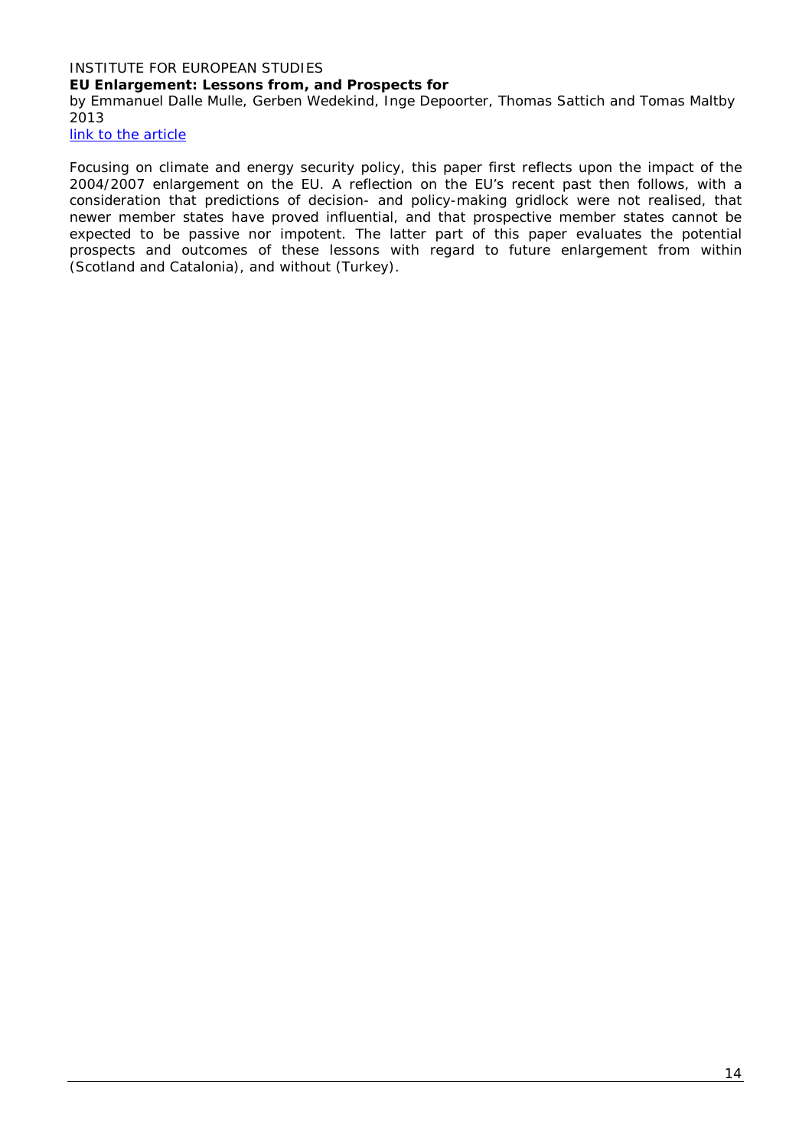# <span id="page-13-0"></span>INSTITUTE FOR EUROPEAN STUDIES **EU Enlargement: Lessons from, and Prospects for**

<span id="page-13-1"></span>by Emmanuel Dalle Mulle, Gerben Wedekind, Inge Depoorter, Thomas Sattich and Tomas Maltby 2013

[link to the article](http://www.ies.be/files/Working%20Paper%20Enlargement%20final.pdf)

Focusing on climate and energy security policy, this paper first reflects upon the impact of the 2004/2007 enlargement on the EU. A reflection on the EU's recent past then follows, with a consideration that predictions of decision- and policy-making gridlock were not realised, that newer member states have proved influential, and that prospective member states cannot be expected to be passive nor impotent. The latter part of this paper evaluates the potential prospects and outcomes of these lessons with regard to future enlargement from within (Scotland and Catalonia), and without (Turkey).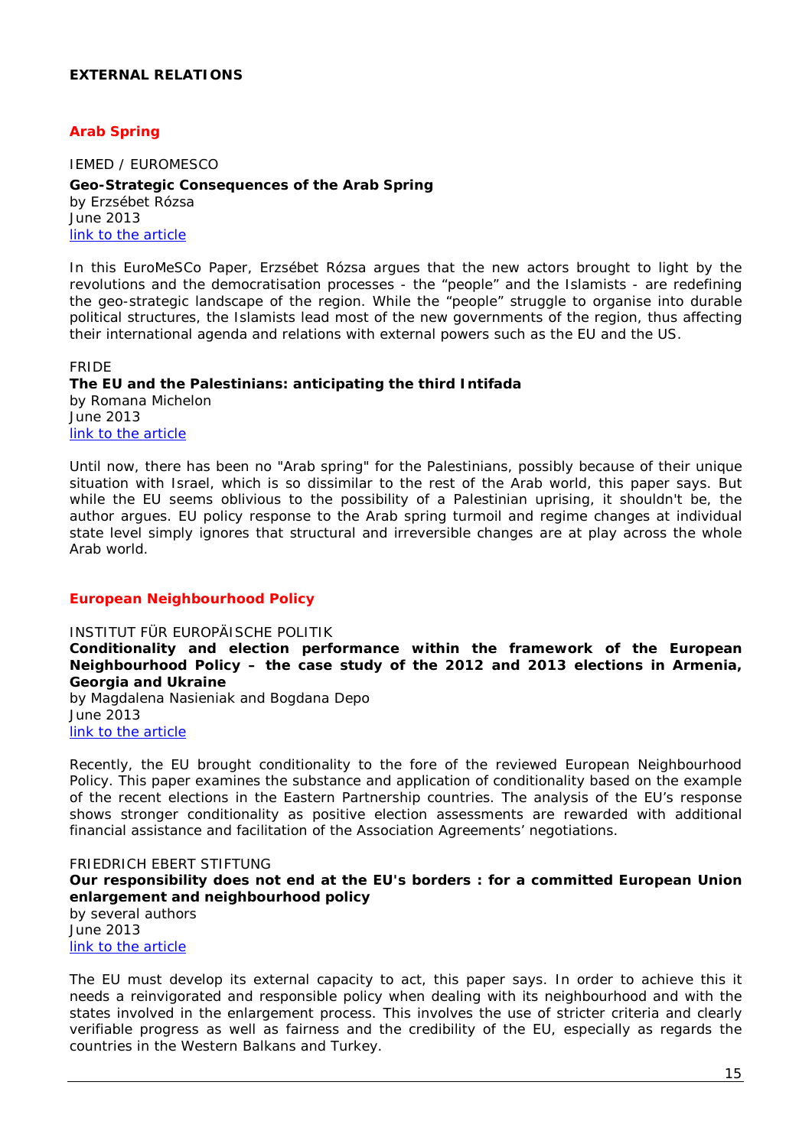## <span id="page-14-0"></span>**EXTERNAL RELATIONS**

## <span id="page-14-1"></span>*Arab Spring*

<span id="page-14-2"></span>IEMED / EUROMESCO **Geo-Strategic Consequences of the Arab Spring**  by Erzsébet Rózsa June 2013 [link to the article](http://www.euromesco.net/images/papers/papersiemed19.pdf)

In this EuroMeSCo Paper, Erzsébet Rózsa argues that the new actors brought to light by the revolutions and the democratisation processes - the "people" and the Islamists - are redefining the geo-strategic landscape of the region. While the "people" struggle to organise into durable political structures, the Islamists lead most of the new governments of the region, thus affecting their international agenda and relations with external powers such as the EU and the US.

<span id="page-14-4"></span><span id="page-14-3"></span>FRIDE **The EU and the Palestinians: anticipating the third Intifada** by Romana Michelon June 2013 [link to the article](http://www.fride.org/download/PB_158_The_EU_and_the_Palestinians.pdf)

Until now, there has been no "Arab spring" for the Palestinians, possibly because of their unique situation with Israel, which is so dissimilar to the rest of the Arab world, this paper says. But while the EU seems oblivious to the possibility of a Palestinian uprising, it shouldn't be, the author argues. EU policy response to the Arab spring turmoil and regime changes at individual state level simply ignores that structural and irreversible changes are at play across the whole Arab world.

#### *European Neighbourhood Policy*

#### <span id="page-14-5"></span>INSTITUT FÜR EUROPÄISCHE POLITIK

<span id="page-14-6"></span>**Conditionality and election performance within the framework of the European Neighbourhood Policy – the case study of the 2012 and 2013 elections in Armenia, Georgia and Ukraine**

by Magdalena Nasieniak and Bogdana Depo June 2013 [link to the article](http://www.iep-berlin.de/fileadmin/website/09_Publikationen/Sonstige/Conditionality_and_Election_Performance_within_the_Framework_of_the_European_Neighbourhood_Policy.pdf)

Recently, the EU brought conditionality to the fore of the reviewed European Neighbourhood Policy. This paper examines the substance and application of conditionality based on the example of the recent elections in the Eastern Partnership countries. The analysis of the EU's response shows stronger conditionality as positive election assessments are rewarded with additional financial assistance and facilitation of the Association Agreements' negotiations.

## <span id="page-14-8"></span><span id="page-14-7"></span>FRIEDRICH EBERT STIFTUNG **Our responsibility does not end at the EU's borders : for a committed European Union enlargement and neighbourhood policy** by several authors

June 2013 [link to the article](http://library.fes.de/pdf-files/id/ipa/10129.pdf)

The EU must develop its external capacity to act, this paper says. In order to achieve this it needs a reinvigorated and responsible policy when dealing with its neighbourhood and with the states involved in the enlargement process. This involves the use of stricter criteria and clearly verifiable progress as well as fairness and the credibility of the EU, especially as regards the countries in the Western Balkans and Turkey.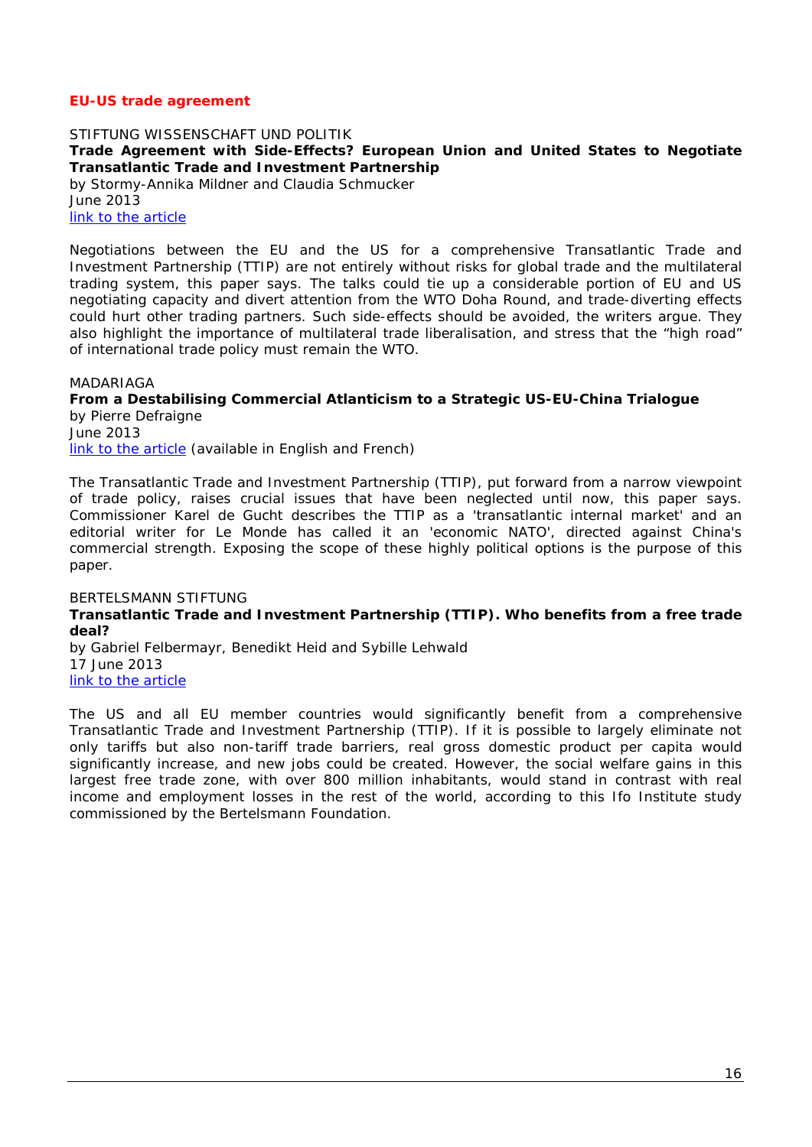## *EU-US trade agreement*

<span id="page-15-1"></span><span id="page-15-0"></span>STIFTUNG WISSENSCHAFT UND POLITIK **Trade Agreement with Side-Effects? European Union and United States to Negotiate Transatlantic Trade and Investment Partnership** by Stormy-Annika Mildner and Claudia Schmucker June 2013 [link to the article](http://www.swp-berlin.org/fileadmin/contents/products/comments/2013C18_mdn_schmucker.pdf)

Negotiations between the EU and the US for a comprehensive Transatlantic Trade and Investment Partnership (TTIP) are not entirely without risks for global trade and the multilateral trading system, this paper says. The talks could tie up a considerable portion of EU and US negotiating capacity and divert attention from the WTO Doha Round, and trade-diverting effects could hurt other trading partners. Such side-effects should be avoided, the writers argue. They also highlight the importance of multilateral trade liberalisation, and stress that the "high road" of international trade policy must remain the WTO.

#### <span id="page-15-2"></span>MADARIAGA

#### <span id="page-15-3"></span>**From a Destabilising Commercial Atlanticism to a Strategic US-EU-China Trialogue** by Pierre Defraigne

June 2013 [link to the article](http://www.madariaga.org/images/madariagapapers/06-june-2013%20-%20defraigne%20-%20from%20a%20destabilising%20commercial%20atlanticism%20to%20a%20strategic%20us-eu-china%20trialogue%20-%20madariaga%20paper.pdf) *(available in English and French)*

The Transatlantic Trade and Investment Partnership (TTIP), put forward from a narrow viewpoint of trade policy, raises crucial issues that have been neglected until now, this paper says. Commissioner Karel de Gucht describes the TTIP as a 'transatlantic internal market' and an editorial writer for Le Monde has called it an 'economic NATO', directed against China's commercial strength. Exposing the scope of these highly political options is the purpose of this paper.

## <span id="page-15-5"></span><span id="page-15-4"></span>BERTELSMANN STIFTUNG **Transatlantic Trade and Investment Partnership (TTIP). Who benefits from a free trade deal?**

by Gabriel Felbermayr, Benedikt Heid and Sybille Lehwald 17 June 2013 [link to the article](http://www.bfna.org/sites/default/files/TTIP-GED%20study%2017June%202013.pdf)

The US and all EU member countries would significantly benefit from a comprehensive Transatlantic Trade and Investment Partnership (TTIP). If it is possible to largely eliminate not only tariffs but also non-tariff trade barriers, real gross domestic product per capita would significantly increase, and new jobs could be created. However, the social welfare gains in this largest free trade zone, with over 800 million inhabitants, would stand in contrast with real income and employment losses in the rest of the world, according to this Ifo Institute study commissioned by the Bertelsmann Foundation.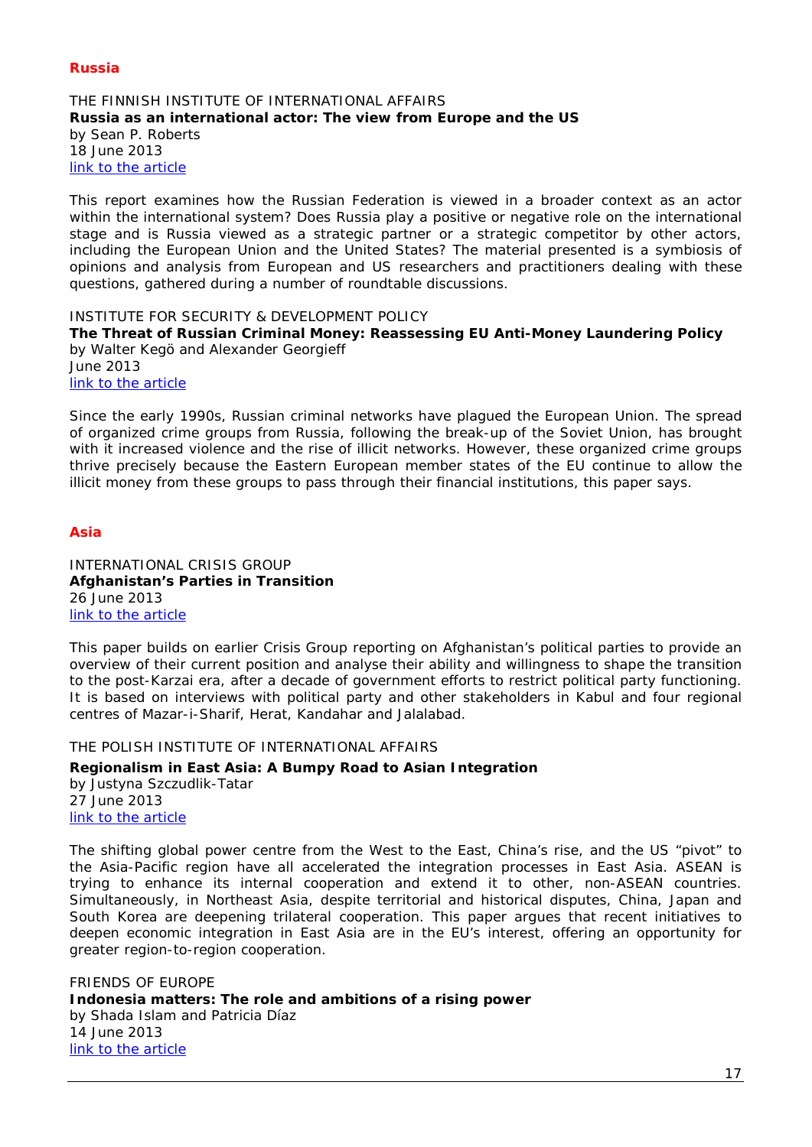## *Russia*

#### <span id="page-16-1"></span><span id="page-16-0"></span>THE FINNISH INSTITUTE OF INTERNATIONAL AFFAIRS **Russia as an international actor: The view from Europe and the US** by Sean P. Roberts 18 June 2013 [link to the article](http://www.fiia.fi/en/publication/344/russia_as_an_international_actor/)

This report examines how the Russian Federation is viewed in a broader context as an actor within the international system? Does Russia play a positive or negative role on the international stage and is Russia viewed as a strategic partner or a strategic competitor by other actors, including the European Union and the United States? The material presented is a symbiosis of opinions and analysis from European and US researchers and practitioners dealing with these questions, gathered during a number of roundtable discussions.

<span id="page-16-2"></span>INSTITUTE FOR SECURITY & DEVELOPMENT POLICY

<span id="page-16-3"></span>**The Threat of Russian Criminal Money: Reassessing EU Anti-Money Laundering Policy** by Walter Kegö and Alexander Georgieff June 2013

[link to the article](http://www.isdp.eu/images/stories/isdp-main-pdf/2013-kego-georgieff-russian-criminal-money.pdf)

Since the early 1990s, Russian criminal networks have plagued the European Union. The spread of organized crime groups from Russia, following the break-up of the Soviet Union, has brought with it increased violence and the rise of illicit networks. However, these organized crime groups thrive precisely because the Eastern European member states of the EU continue to allow the illicit money from these groups to pass through their financial institutions, this paper says.

## *Asia*

<span id="page-16-5"></span><span id="page-16-4"></span>INTERNATIONAL CRISIS GROUP **Afghanistan's Parties in Transition** 26 June 2013 [link to the article](http://www.crisisgroup.org/~/media/Files/asia/south-asia/afghanistan/b141-afghanistans-parties-in-transition.pdf)

This paper builds on earlier Crisis Group reporting on Afghanistan's political parties to provide an overview of their current position and analyse their ability and willingness to shape the transition to the post-Karzai era, after a decade of government efforts to restrict political party functioning. It is based on interviews with political party and other stakeholders in Kabul and four regional centres of Mazar-i-Sharif, Herat, Kandahar and Jalalabad.

<span id="page-16-6"></span>THE POLISH INSTITUTE OF INTERNATIONAL AFFAIRS

#### <span id="page-16-7"></span>**Regionalism in East Asia: A Bumpy Road to Asian Integration**

by Justyna Szczudlik-Tatar 27 June 2013 [link to the article](http://www.pism.pl/files/?id_plik=14176)

The shifting global power centre from the West to the East, China's rise, and the US "pivot" to the Asia-Pacific region have all accelerated the integration processes in East Asia. ASEAN is trying to enhance its internal cooperation and extend it to other, non-ASEAN countries. Simultaneously, in Northeast Asia, despite territorial and historical disputes, China, Japan and South Korea are deepening trilateral cooperation. This paper argues that recent initiatives to deepen economic integration in East Asia are in the EU's interest, offering an opportunity for greater region-to-region cooperation.

<span id="page-16-9"></span><span id="page-16-8"></span>FRIENDS OF EUROPE **Indonesia matters: The role and ambitions of a rising power** by Shada Islam and Patricia Díaz 14 June 2013 [link to the article](http://www.friendsofeurope.org/Portals/13/Documents/Policy_Briefings/FoE_Indonesia_PolicyBriefing_2013.pdf)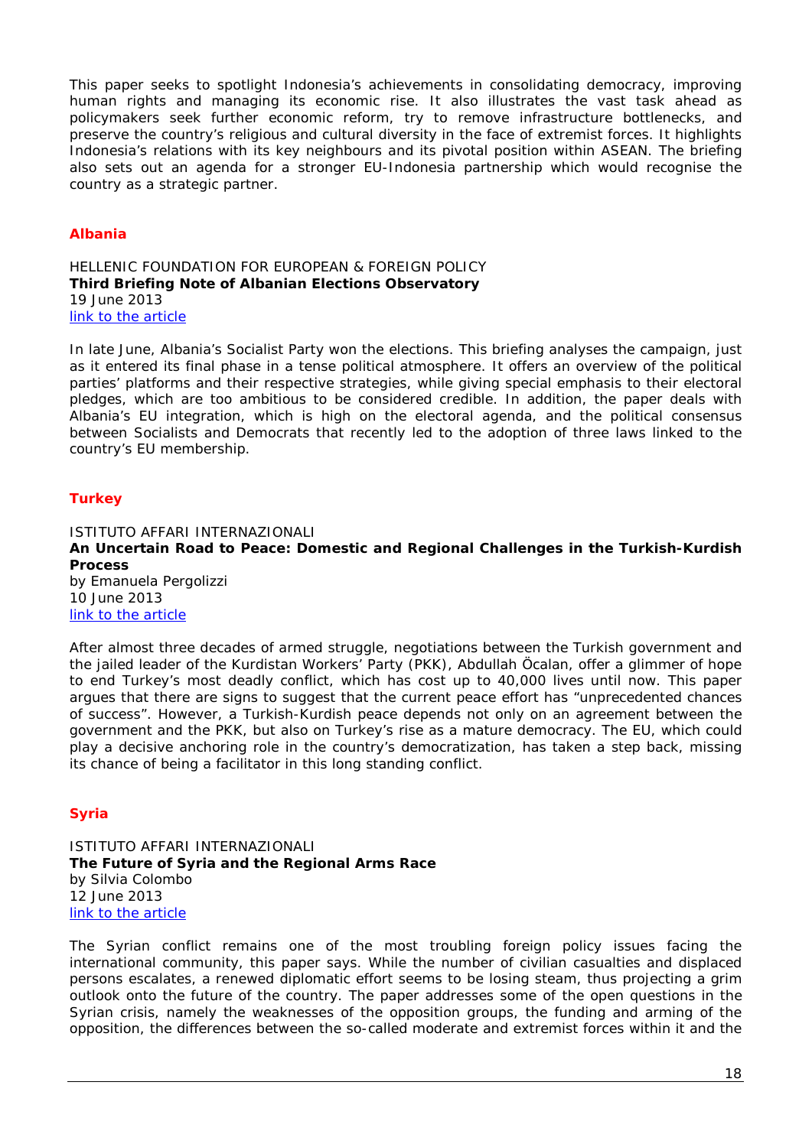This paper seeks to spotlight Indonesia's achievements in consolidating democracy, improving human rights and managing its economic rise. It also illustrates the vast task ahead as policymakers seek further economic reform, try to remove infrastructure bottlenecks, and preserve the country's religious and cultural diversity in the face of extremist forces. It highlights Indonesia's relations with its key neighbours and its pivotal position within ASEAN. The briefing also sets out an agenda for a stronger EU-Indonesia partnership which would recognise the country as a strategic partner.

## *Albania*

<span id="page-17-1"></span><span id="page-17-0"></span>HELLENIC FOUNDATION FOR EUROPEAN & FOREIGN POLICY **Third Briefing Note of Albanian Elections Observatory** 19 June 2013 [link to the article](http://www.eliamep.gr/wp-content/uploads/2013/06/alb1.pdf)

In late June, Albania's Socialist Party won the elections. This briefing analyses the campaign, just as it entered its final phase in a tense political atmosphere. It offers an overview of the political parties' platforms and their respective strategies, while giving special emphasis to their electoral pledges, which are too ambitious to be considered credible. In addition, the paper deals with Albania's EU integration, which is high on the electoral agenda, and the political consensus between Socialists and Democrats that recently led to the adoption of three laws linked to the country's EU membership.

## *Turkey*

<span id="page-17-3"></span><span id="page-17-2"></span>ISTITUTO AFFARI INTERNAZIONALI **An Uncertain Road to Peace: Domestic and Regional Challenges in the Turkish-Kurdish Process** by Emanuela Pergolizzi 10 June 2013 [link to the article](http://www.iai.it/pdf/DocIAI/iaiwp1318.pdf)

After almost three decades of armed struggle, negotiations between the Turkish government and the jailed leader of the Kurdistan Workers' Party (PKK), Abdullah Öcalan, offer a glimmer of hope to end Turkey's most deadly conflict, which has cost up to 40,000 lives until now. This paper argues that there are signs to suggest that the current peace effort has "unprecedented chances of success". However, a Turkish-Kurdish peace depends not only on an agreement between the government and the PKK, but also on Turkey's rise as a mature democracy. The EU, which could play a decisive anchoring role in the country's democratization, has taken a step back, missing its chance of being a facilitator in this long standing conflict.

# *Syria*

<span id="page-17-5"></span><span id="page-17-4"></span>ISTITUTO AFFARI INTERNAZIONALI **The Future of Syria and the Regional Arms Race** by Silvia Colombo 12 June 2013 [link to the article](http://www.iai.it/pdf/DocIAI/iaiwp1319.pdf)

The Syrian conflict remains one of the most troubling foreign policy issues facing the international community, this paper says. While the number of civilian casualties and displaced persons escalates, a renewed diplomatic effort seems to be losing steam, thus projecting a grim outlook onto the future of the country. The paper addresses some of the open questions in the Syrian crisis, namely the weaknesses of the opposition groups, the funding and arming of the opposition, the differences between the so-called moderate and extremist forces within it and the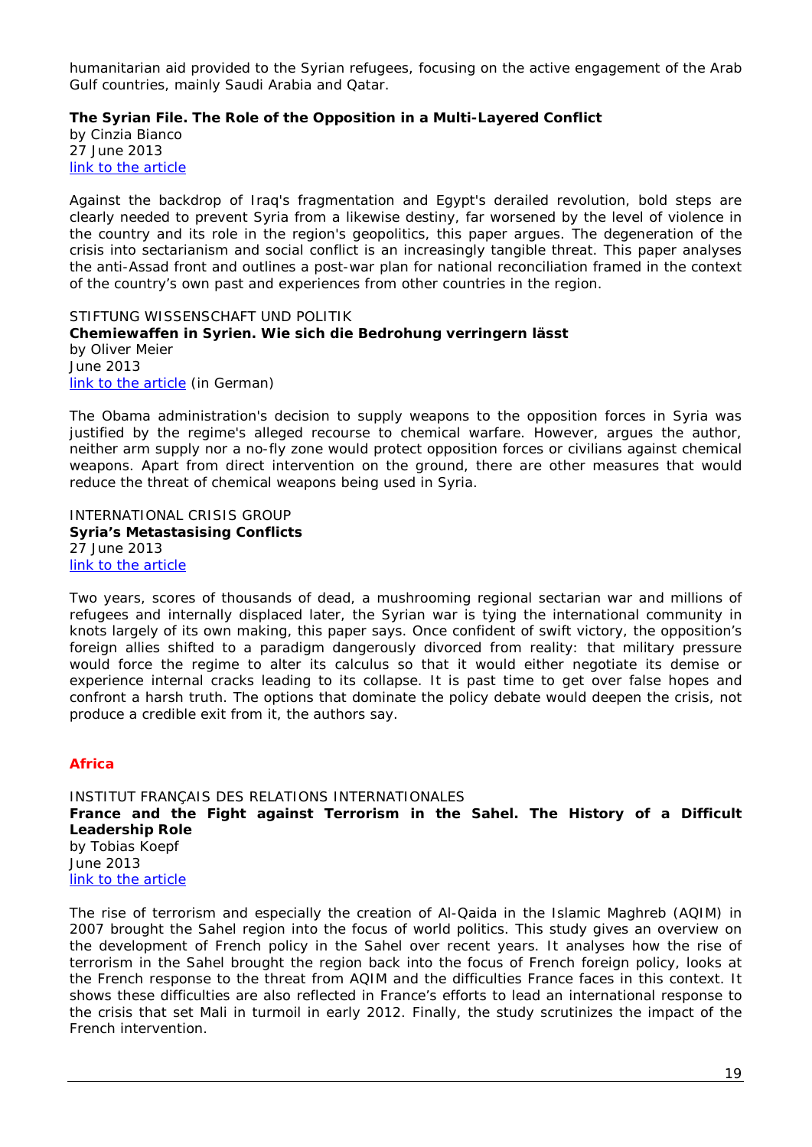humanitarian aid provided to the Syrian refugees, focusing on the active engagement of the Arab Gulf countries, mainly Saudi Arabia and Qatar.

<span id="page-18-0"></span>**The Syrian File. The Role of the Opposition in a Multi-Layered Conflict**

by Cinzia Bianco 27 June 2013 [link to the article](http://www.iai.it/pdf/DocIAI/iaiwp1321.pdf)

Against the backdrop of Iraq's fragmentation and Egypt's derailed revolution, bold steps are clearly needed to prevent Syria from a likewise destiny, far worsened by the level of violence in the country and its role in the region's geopolitics, this paper argues. The degeneration of the crisis into sectarianism and social conflict is an increasingly tangible threat. This paper analyses the anti-Assad front and outlines a post-war plan for national reconciliation framed in the context of the country's own past and experiences from other countries in the region.

<span id="page-18-2"></span><span id="page-18-1"></span>STIFTUNG WISSENSCHAFT UND POLITIK **Chemiewaffen in Syrien. Wie sich die Bedrohung verringern lässt** by Oliver Meier June 2013 [link to the article](http://www.swp-berlin.org/fileadmin/contents/products/aktuell/2013A36_mro.pdf) *(in German)*

The Obama administration's decision to supply weapons to the opposition forces in Syria was justified by the regime's alleged recourse to chemical warfare. However, argues the author, neither arm supply nor a no-fly zone would protect opposition forces or civilians against chemical weapons. Apart from direct intervention on the ground, there are other measures that would reduce the threat of chemical weapons being used in Syria.

<span id="page-18-4"></span><span id="page-18-3"></span>INTERNATIONAL CRISIS GROUP **Syria's Metastasising Conflicts** 27 June 2013 [link to the article](http://www.crisisgroup.org/~/media/Files/Middle%20East%20North%20Africa/Iraq%20Syria%20Lebanon/Syria/143-syrias-metastasising-conflicts.pdf)

Two years, scores of thousands of dead, a mushrooming regional sectarian war and millions of refugees and internally displaced later, the Syrian war is tying the international community in knots largely of its own making, this paper says. Once confident of swift victory, the opposition's foreign allies shifted to a paradigm dangerously divorced from reality: that military pressure would force the regime to alter its calculus so that it would either negotiate its demise or experience internal cracks leading to its collapse. It is past time to get over false hopes and confront a harsh truth. The options that dominate the policy debate would deepen the crisis, not produce a credible exit from it, the authors say.

# *Africa*

<span id="page-18-6"></span><span id="page-18-5"></span>INSTITUT FRANÇAIS DES RELATIONS INTERNATIONALES **France and the Fight against Terrorism in the Sahel. The History of a Difficult Leadership Role** by Tobias Koepf June 2013 [link to the article](http://www.ifri.org/downloads/notedelifriafriquetkoepf.pdf)

The rise of terrorism and especially the creation of Al-Qaida in the Islamic Maghreb (AQIM) in 2007 brought the Sahel region into the focus of world politics. This study gives an overview on the development of French policy in the Sahel over recent years. It analyses how the rise of terrorism in the Sahel brought the region back into the focus of French foreign policy, looks at the French response to the threat from AQIM and the difficulties France faces in this context. It shows these difficulties are also reflected in France's efforts to lead an international response to the crisis that set Mali in turmoil in early 2012. Finally, the study scrutinizes the impact of the French intervention.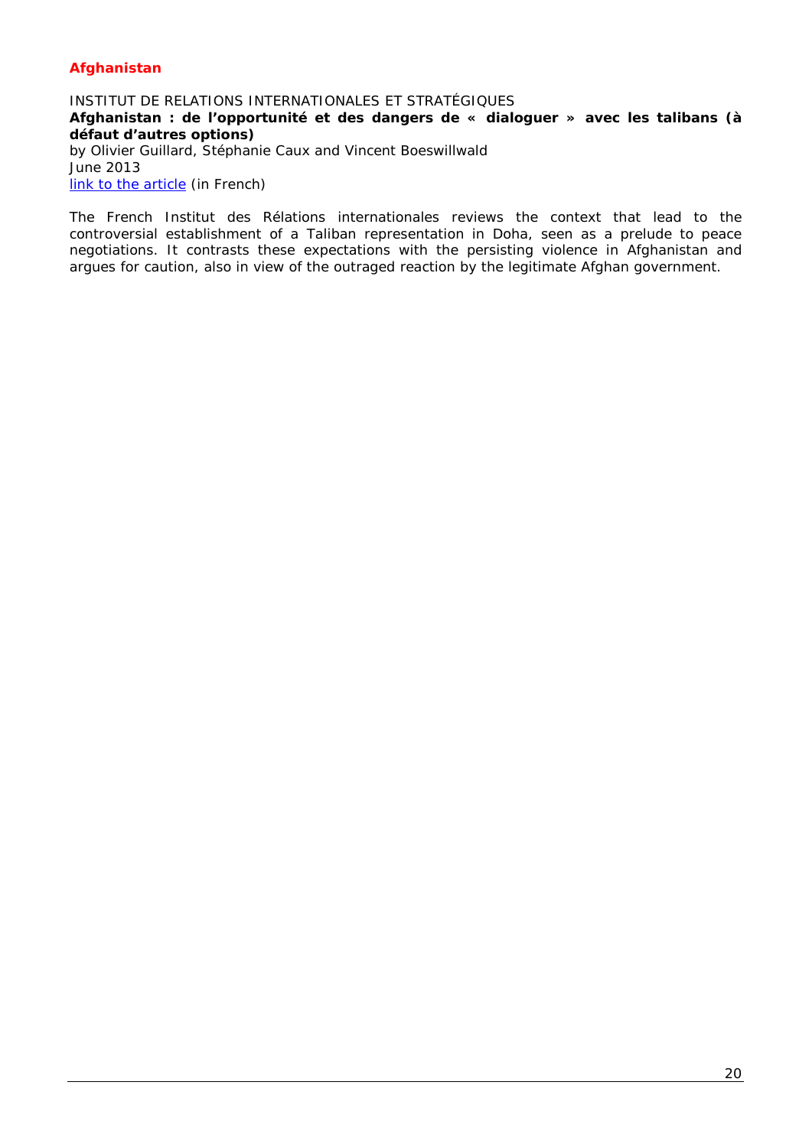## *Afghanistan*

## <span id="page-19-1"></span><span id="page-19-0"></span>INSTITUT DE RELATIONS INTERNATIONALES ET STRATÉGIQUES **Afghanistan : de l'opportunité et des dangers de « dialoguer » avec les talibans (à défaut d'autres options)** by Olivier Guillard, Stéphanie Caux and Vincent Boeswillwald June 2013 [link to the article](http://www.iris-france.org/docs/kfm_docs/docs/observatoire-strategique-asie/2013-06-26-asie-perspectives-strategiques-7.pdf) *(in French)*

The French *Institut des Rélations internationales* reviews the context that lead to the controversial establishment of a Taliban representation in Doha, seen as a prelude to peace negotiations. It contrasts these expectations with the persisting violence in Afghanistan and argues for caution, also in view of the outraged reaction by the legitimate Afghan government.